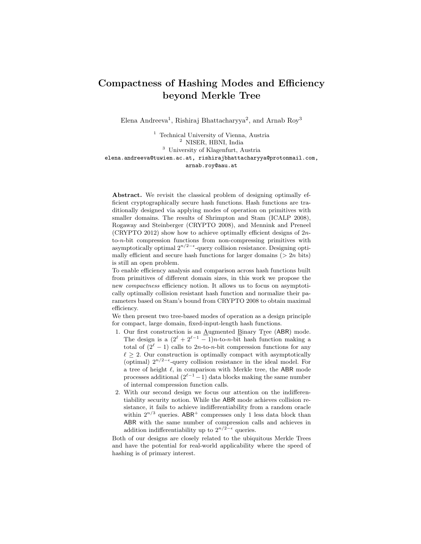# Compactness of Hashing Modes and Efficiency beyond Merkle Tree

Elena Andreeva<sup>1</sup>, Rishiraj Bhattacharyya<sup>2</sup>, and Arnab Roy<sup>3</sup>

<sup>1</sup> Technical University of Vienna, Austria <sup>2</sup> NISER, HBNI, India <sup>3</sup> University of Klagenfurt, Austria elena.andreeva@tuwien.ac.at, rishirajbhattacharyya@protonmail.com, arnab.roy@aau.at

Abstract. We revisit the classical problem of designing optimally efficient cryptographically secure hash functions. Hash functions are traditionally designed via applying modes of operation on primitives with smaller domains. The results of Shrimpton and Stam (ICALP 2008), Rogaway and Steinberger (CRYPTO 2008), and Mennink and Preneel (CRYPTO 2012) show how to achieve optimally efficient designs of 2nto-n-bit compression functions from non-compressing primitives with asymptotically optimal  $2^{n/2-\epsilon}$ -query collision resistance. Designing optimally efficient and secure hash functions for larger domains  $(> 2n \text{ bits})$ is still an open problem.

To enable efficiency analysis and comparison across hash functions built from primitives of different domain sizes, in this work we propose the new compactness efficiency notion. It allows us to focus on asymptotically optimally collision resistant hash function and normalize their parameters based on Stam's bound from CRYPTO 2008 to obtain maximal efficiency.

We then present two tree-based modes of operation as a design principle for compact, large domain, fixed-input-length hash functions.

- 1. Our first construction is an Augmented Binary Tree (ABR) mode. The design is a  $(2^{\ell} + 2^{\ell-1} - 1)n$ -to-n-bit hash function making a total of  $(2^{\ell} - 1)$  calls to 2n-to-n-bit compression functions for any  $\ell \geq 2$ . Our construction is optimally compact with asymptotically (optimal)  $2^{n/2-\epsilon}$ -query collision resistance in the ideal model. For a tree of height  $\ell$ , in comparison with Merkle tree, the ABR mode processes additional  $(2^{\ell-1}-1)$  data blocks making the same number of internal compression function calls.
- 2. With our second design we focus our attention on the indifferentiability security notion. While the ABR mode achieves collision resistance, it fails to achieve indifferentiability from a random oracle within  $2^{n/3}$  queries. ABR<sup>+</sup> compresses only 1 less data block than ABR with the same number of compression calls and achieves in addition indifferentiability up to  $2^{n/2-\epsilon}$  queries.

Both of our designs are closely related to the ubiquitous Merkle Trees and have the potential for real-world applicability where the speed of hashing is of primary interest.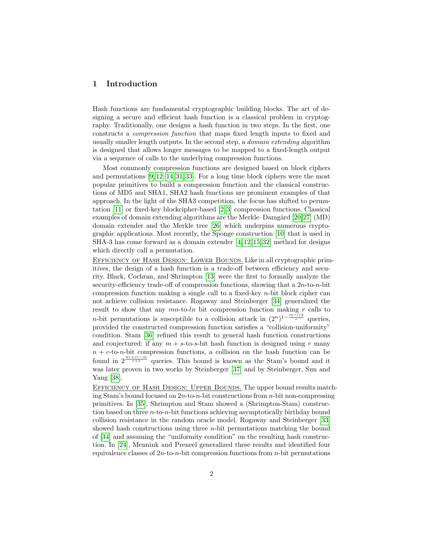# 1 Introduction

Hash functions are fundamental cryptographic building blocks. The art of designing a secure and efficient hash function is a classical problem in cryptography. Traditionally, one designs a hash function in two steps. In the first, one constructs a compression function that maps fixed length inputs to fixed and usually smaller length outputs. In the second step, a domain extending algorithm is designed that allows longer messages to be mapped to a fixed-length output via a sequence of calls to the underlying compression functions.

Most commonly compression functions are designed based on block ciphers and permutations [\[9,](#page-28-0) [12–](#page-29-0)[14,](#page-29-1) [31,](#page-30-0) [33\]](#page-30-1). For a long time block ciphers were the most popular primitives to build a compression function and the classical constructions of MD5 and SHA1, SHA2 hash functions are prominent examples of that approach. In the light of the SHA3 competition, the focus has shifted to permutation [\[11\]](#page-29-2) or fixed-key blockcipher-based [\[2,](#page-28-1) [3\]](#page-28-2) compression functions. Classical examples of domain extending algorithms are the Merkle–Damgård  $[20.27]$  $[20.27]$  (MD) domain extender and the Merkle tree [\[26\]](#page-29-4) which underpins numerous cryptographic applications. Most recently, the Sponge construction [\[10\]](#page-29-5) that is used in SHA-3 has come forward as a domain extender [\[4,](#page-28-3) [12,](#page-29-0) [15,](#page-29-6) [32\]](#page-30-3) method for designs which directly call a permutation.

Efficiency of Hash Design: Lower Bounds. Like in all cryptographic primitives, the design of a hash function is a trade-off between efficiency and security. Black, Cochran, and Shrimpton [\[13\]](#page-29-7) were the first to formally analyze the security-efficiency trade-off of compression functions, showing that a  $2n$ -to- $n$ -bit compression function making a single call to a fixed-key n-bit block cipher can not achieve collision resistance. Rogaway and Steinberger [\[34\]](#page-30-4) generalized the result to show that any  $mn$ -to-ln bit compression function making  $r$  calls to *n*-bit permutations is susceptible to a collision attack in  $(2^n)^{1-\frac{m-l/2}{r}}$  queries, provided the constructed compression function satisfies a "collision-uniformity" condition. Stam [\[36\]](#page-30-5) refined this result to general hash function constructions and conjectured: if any  $m + s$ -to-s-bit hash function is designed using r many  $n + c$ -to-n-bit compression functions, a collision on the hash function can be found in  $2^{\frac{nr+cr-m}{r+1}}$  queries. This bound is known as the Stam's bound and it was later proven in two works by Steinberger [\[37\]](#page-30-6) and by Steinberger, Sun and Yang [\[38\]](#page-30-7).

Efficiency of Hash Design: Upper Bounds. The upper bound results matching Stam's bound focused on  $2n$ -to-n-bit constructions from n-bit non-compressing primitives. In [\[35\]](#page-30-8), Shrimpton and Stam showed a (Shrimpton-Stam) construction based on three n-to-n-bit functions achieving asymptotically birthday bound collision resistance in the random oracle model. Rogaway and Steinberger [\[33\]](#page-30-1) showed hash constructions using three  $n$ -bit permutations matching the bound of [\[34\]](#page-30-4) and assuming the "uniformity condition" on the resulting hash construction. In [\[24\]](#page-29-8), Mennink and Preneel generalized these results and identified four equivalence classes of  $2n$ -to-n-bit compression functions from n-bit permutations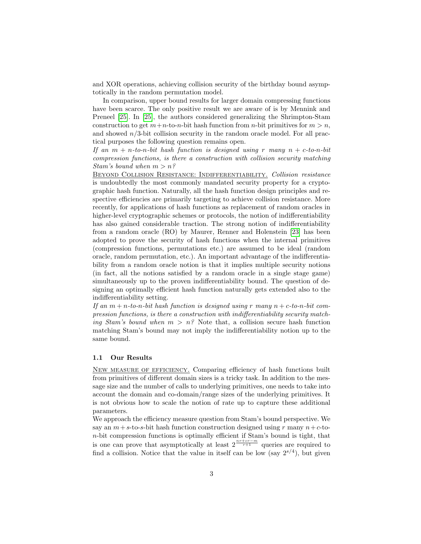and XOR operations, achieving collision security of the birthday bound asymptotically in the random permutation model.

In comparison, upper bound results for larger domain compressing functions have been scarce. The only positive result we are aware of is by Mennink and Preneel [\[25\]](#page-29-9). In [\[25\]](#page-29-9), the authors considered generalizing the Shrimpton-Stam construction to get  $m+n$ -to-n-bit hash function from n-bit primitives for  $m > n$ , and showed  $n/3$ -bit collision security in the random oracle model. For all practical purposes the following question remains open.

If an  $m + n$ -to-n-bit hash function is designed using r many  $n + c$ -to-n-bit compression functions, is there a construction with collision security matching Stam's bound when  $m > n$ ?

Beyond Collision Resistance: Indifferentiability. Collision resistance is undoubtedly the most commonly mandated security property for a cryptographic hash function. Naturally, all the hash function design principles and respective efficiencies are primarily targeting to achieve collision resistance. More recently, for applications of hash functions as replacement of random oracles in higher-level cryptographic schemes or protocols, the notion of indifferentiability has also gained considerable traction. The strong notion of indifferentiability from a random oracle (RO) by Maurer, Renner and Holenstein [\[23\]](#page-29-10) has been adopted to prove the security of hash functions when the internal primitives (compression functions, permutations etc.) are assumed to be ideal (random oracle, random permutation, etc.). An important advantage of the indifferentiability from a random oracle notion is that it implies multiple security notions (in fact, all the notions satisfied by a random oracle in a single stage game) simultaneously up to the proven indifferentiability bound. The question of designing an optimally efficient hash function naturally gets extended also to the indifferentiability setting.

If an  $m + n$ -to-n-bit hash function is designed using r many  $n + c$ -to-n-bit compression functions, is there a construction with indifferentiability security matching Stam's bound when  $m > n$ ? Note that, a collision secure hash function matching Stam's bound may not imply the indifferentiability notion up to the same bound.

# 1.1 Our Results

New measure of efficiency. Comparing efficiency of hash functions built from primitives of different domain sizes is a tricky task. In addition to the message size and the number of calls to underlying primitives, one needs to take into account the domain and co-domain/range sizes of the underlying primitives. It is not obvious how to scale the notion of rate up to capture these additional parameters.

We approach the efficiency measure question from Stam's bound perspective. We say an  $m+s$ -to-s-bit hash function construction designed using r many  $n+c$ -ton-bit compression functions is optimally efficient if Stam's bound is tight, that is one can prove that asymptotically at least  $2^{\frac{nr+cr-m}{r+1}}$  queries are required to find a collision. Notice that the value in itself can be low (say  $2^{s/4}$ ), but given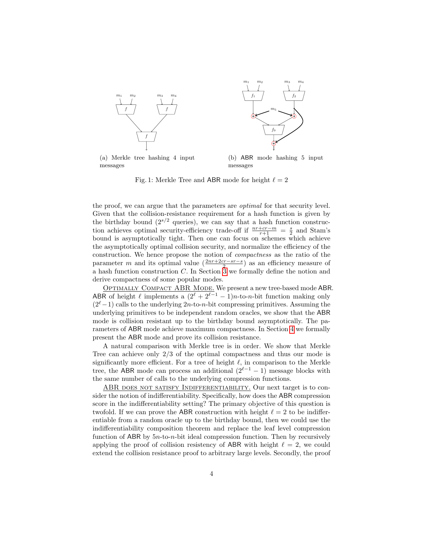<span id="page-3-0"></span>

messages

messages

Fig. 1: Merkle Tree and ABR mode for height  $\ell = 2$ 

the proof, we can argue that the parameters are optimal for that security level. Given that the collision-resistance requirement for a hash function is given by the birthday bound  $(2^{s/2}$  queries), we can say that a hash function construction achieves optimal security-efficiency trade-off if  $\frac{n r + c r - m}{r+1} = \frac{s}{2}$  and Stam's bound is asymptotically tight. Then one can focus on schemes which achieve the asymptotically optimal collision security, and normalize the efficiency of the construction. We hence propose the notion of compactness as the ratio of the parameter m and its optimal value  $\left(\frac{2nr+2cr-sr-s}{2}\right)$  as an efficiency measure of a hash function construction  $C$ . In Section  $\overline{3}$  we formally define the notion and derive compactness of some popular modes.

OPTIMALLY COMPACT ABR MODE. We present a new tree-based mode ABR. ABR of height  $\ell$  implements a  $(2^{\ell} + 2^{\ell-1} - 1)n$ -to-n-bit function making only  $(2<sup>ℓ</sup> - 1)$  calls to the underlying  $2n$ -to-n-bit compressing primitives. Assuming the underlying primitives to be independent random oracles, we show that the ABR mode is collision resistant up to the birthday bound asymptotically. The parameters of ABR mode achieve maximum compactness. In Section [4](#page-9-0) we formally present the ABR mode and prove its collision resistance.

A natural comparison with Merkle tree is in order. We show that Merkle Tree can achieve only 2/3 of the optimal compactness and thus our mode is significantly more efficient. For a tree of height  $\ell$ , in comparison to the Merkle tree, the ABR mode can process an additional  $(2^{\ell-1} - 1)$  message blocks with the same number of calls to the underlying compression functions.

ABR DOES NOT SATISFY INDIFFERENTIABILITY. Our next target is to consider the notion of indifferentiability. Specifically, how does the ABR compression score in the indifferentiability setting? The primary objective of this question is twofold. If we can prove the ABR construction with height  $\ell = 2$  to be indifferentiable from a random oracle up to the birthday bound, then we could use the indifferentiability composition theorem and replace the leaf level compression function of ABR by 5n-to-n-bit ideal compression function. Then by recursively applying the proof of collision resistency of ABR with height  $\ell = 2$ , we could extend the collision resistance proof to arbitrary large levels. Secondly, the proof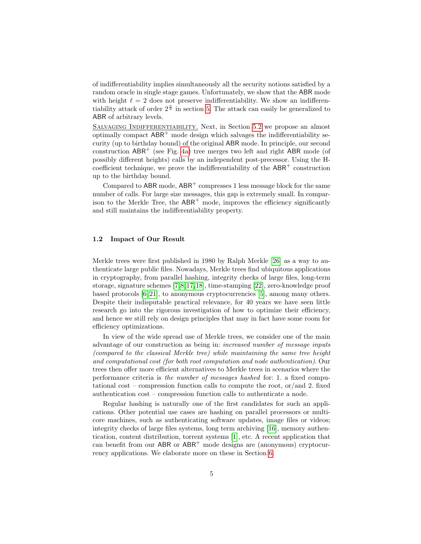of indifferentiability implies simultaneously all the security notions satisfied by a random oracle in single stage games. Unfortunately, we show that the ABR mode with height  $\ell = 2$  does not preserve indifferentiability. We show an indifferentiability attack of order  $2^{\frac{n}{3}}$  in section [5.](#page-20-0) The attack can easily be generalized to ABR of arbitrary levels.

Salvaging Indifferentiability. Next, in Section [5.2](#page-21-0) we propose an almost optimally compact  $ABR^+$  mode design which salvages the indifferentiability security (up to birthday bound) of the original ABR mode. In principle, our second construction  $ABR^+$  (see Fig. [4a\)](#page-21-1) tree merges two left and right ABR mode (of possibly different heights) calls by an independent post-precessor. Using the Hcoefficient technique, we prove the indifferentiability of the  $ABR^+$  construction up to the birthday bound.

Compared to ABR mode,  $ABR^+$  compresses 1 less message block for the same number of calls. For large size messages, this gap is extremely small. In comparison to the Merkle Tree, the  $ABR^+$  mode, improves the efficiency significantly and still maintains the indifferentiability property.

# 1.2 Impact of Our Result

Merkle trees were first published in 1980 by Ralph Merkle [\[26\]](#page-29-4) as a way to authenticate large public files. Nowadays, Merkle trees find ubiquitous applications in cryptography, from parallel hashing, integrity checks of large files, long-term storage, signature schemes [\[7,](#page-28-4)[8,](#page-28-5)[17,](#page-29-11)[18\]](#page-29-12), time-stamping [\[22\]](#page-29-13), zero-knowledge proof based protocols [\[6,](#page-28-6) [21\]](#page-29-14), to anonymous cryptocurrencies [\[5\]](#page-28-7), among many others. Despite their indisputable practical relevance, for 40 years we have seen little research go into the rigorous investigation of how to optimize their efficiency, and hence we still rely on design principles that may in fact have some room for efficiency optimizations.

In view of the wide spread use of Merkle trees, we consider one of the main advantage of our construction as being in: increased number of message inputs (compared to the classical Merkle tree) while maintaining the same tree height and computational cost (for both root computation and node authentication). Our trees then offer more efficient alternatives to Merkle trees in scenarios where the performance criteria is the number of messages hashed for: 1. a fixed computational cost – compression function calls to compute the root, or/and 2. fixed authentication cost – compression function calls to authenticate a node.

Regular hashing is naturally one of the first candidates for such an applications. Other potential use cases are hashing on parallel processors or multicore machines, such as authenticating software updates, image files or videos; integrity checks of large files systems, long term archiving [\[16\]](#page-29-15), memory authentication, content distribution, torrent systems [\[1\]](#page-28-8), etc. A recent application that can benefit from our  $ABR$  or  $ABR<sup>+</sup>$  mode designs are (anonymous) cryptocurrency applications. We elaborate more on these in Section [6.](#page-25-0)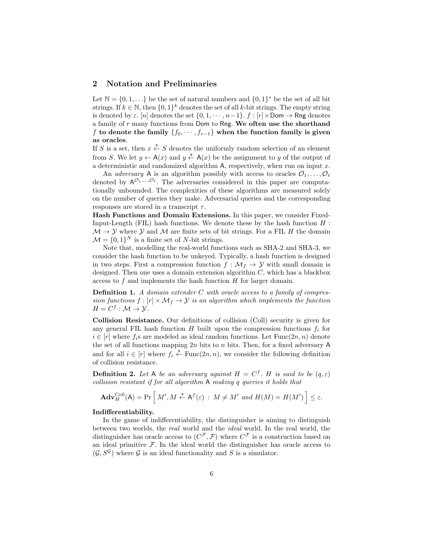# 2 Notation and Preliminaries

Let  $\mathbb{N} = \{0, 1, \ldots\}$  be the set of natural numbers and  $\{0, 1\}^*$  be the set of all bit strings. If  $k \in \mathbb{N}$ , then  $\{0,1\}^k$  denotes the set of all k-bit strings. The empty string is denoted by  $\varepsilon$ . [n] denotes the set  $\{0, 1, \cdots, n-1\}$ .  $f : [r] \times \text{Dom} \rightarrow \text{Rng}$  denotes a family of  $r$  many functions from Dom to Rng. We often use the shorthand f to denote the family  $\{f_0, \dots, f_{r-1}\}$  when the function family is given as oracles.

If S is a set, then  $x \stackrel{\$}{\leftarrow} S$  denotes the uniformly random selection of an element from S. We let  $y \leftarrow A(x)$  and  $y \stackrel{s}{\leftarrow} A(x)$  be the assignment to y of the output of a deterministic and randomized algorithm  $A$ , respectively, when run on input  $x$ .

An *adversary* A is an algorithm possibly with access to oracles  $\mathcal{O}_1, \ldots, \mathcal{O}_\ell$ denoted by  $A^{\mathcal{O}_1,\ldots,\mathcal{O}_{\ell}}$ . The adversaries considered in this paper are computationally unbounded. The complexities of these algorithms are measured solely on the number of queries they make. Adversarial queries and the corresponding responses are stored in a transcript  $\tau$ .

Hash Functions and Domain Extensions. In this paper, we consider Fixed-Input-Length (FIL) hash functions. We denote these by the hash function  $H$ :  $\mathcal{M} \to \mathcal{Y}$  where  $\mathcal{Y}$  and  $\mathcal{M}$  are finite sets of bit strings. For a FIL H the domain  $\mathcal{M} = \{0, 1\}^N$  is a finite set of N-bit strings.

Note that, modelling the real-world functions such as SHA-2 and SHA-3, we consider the hash function to be unkeyed. Typically, a hash function is designed in two steps. First a compression function  $f : \mathcal{M}_f \to \mathcal{Y}$  with small domain is designed. Then one uses a domain extension algorithm C, which has a blackbox access to f and implements the hash function H for larger domain.

**Definition 1.** A domain extender  $C$  with oracle access to a family of compression functions  $f : [r] \times \mathcal{M}_f \to \mathcal{Y}$  is an algorithm which implements the function  $H = C^f : \mathcal{M} \to \mathcal{Y}.$ 

Collision Resistance. Our definitions of collision (Coll) security is given for any general FIL hash function  $H$  built upon the compression functions  $f_i$  for  $i \in [r]$  where  $f_i$ s are modeled as ideal random functions. Let  $Func(2n, n)$  denote the set of all functions mapping  $2n$  bits to n bits. Then, for a fixed adversary A and for all  $i \in [r]$  where  $f_i \stackrel{\$}{\leftarrow} \text{Func}(2n, n)$ , we consider the following definition of collision resistance.

**Definition 2.** Let A be an adversary against  $H = C^f$ . H is said to be  $(q, \varepsilon)$ collision resistant if for all algorithm A making q queries it holds that

$$
\mathbf{Adv}_{H}^{\mathrm{Coll}}(\mathsf{A}) = \Pr\left[\,M', M \stackrel{\hspace{0.1em}\mathsf{\scriptscriptstyle\$}}{\leftarrow} \mathsf{A}^f(\varepsilon) \,:\, M \neq M' \,\, and \,\, H(M) = H(M')\,\right] \leq \varepsilon.
$$

### Indifferentiability.

In the game of indifferentiability, the distinguisher is aiming to distinguish between two worlds, the real world and the ideal world. In the real world, the distinguisher has oracle access to  $(C^{\mathcal{F}}, \mathcal{F})$  where  $C^{\mathcal{F}}$  is a construction based on an ideal primitive  $\mathcal F$ . In the ideal world the distinguisher has oracle access to  $(\mathcal{G}, S^{\mathcal{G}})$  where  $\mathcal G$  is an ideal functionality and S is a simulator.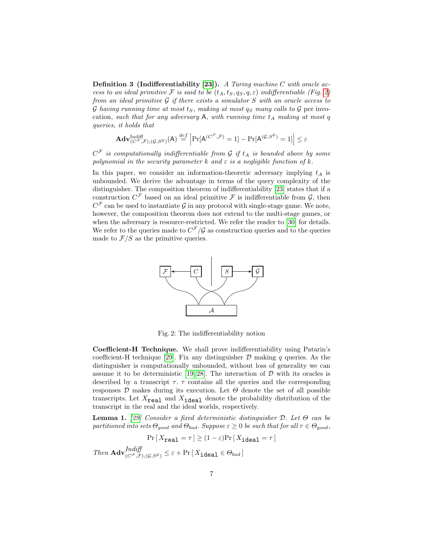**Definition 3 (Indifferentiability [\[23\]](#page-29-10)).** A Turing machine C with oracle access to an ideal primitive F is said to be  $(t_A, t_S, q_S, q, \varepsilon)$  indifferentiable (Fig. [2\)](#page-6-0) from an ideal primitive  $\mathcal G$  if there exists a simulator  $S$  with an oracle access to G having running time at most  $t_S$ , making at most  $q_S$  many calls to G per invocation, such that for any adversary  $A$ , with running time  $t_A$  making at most q queries, it holds that

$$
\mathbf{Adv}_{(C^{\mathcal{F}},\mathcal{F}),(\mathcal{G},S^{\mathcal{G}})}^{\text{Indiff}}\left|\Pr[\mathsf{A}^{(C^{\mathcal{F}},\mathcal{F})}=1]-\Pr[\mathsf{A}^{(\mathcal{G},S^{\mathcal{G}})}=1]\right|\leq \varepsilon
$$

 $C^{\mathcal{F}}$  is computationally indifferentiable from  $\mathcal G$  if  $t_A$  is bounded above by some polynomial in the security parameter k and  $\varepsilon$  is a negligible function of k.

In this paper, we consider an information-theoretic adversary implying  $t_A$  is unbounded. We derive the advantage in terms of the query complexity of the distinguisher. The composition theorem of indifferentiability [\[23\]](#page-29-10) states that if a construction  $C^{\mathcal{F}}$  based on an ideal primitive  $\mathcal F$  is indifferentiable from  $\mathcal G$ , then  $C^{\mathcal{F}}$  can be used to instantiate  $\mathcal{G}$  in any protocol with single-stage game. We note, however, the composition theorem does not extend to the multi-stage games, or when the adversary is resource-restricted. We refer the reader to [\[30\]](#page-30-9) for details. We refer to the queries made to  $C^{\mathcal{F}}/\mathcal{G}$  as construction queries and to the queries made to  $\mathcal{F}/S$  as the primitive queries.

<span id="page-6-0"></span>

Fig. 2: The indifferentiability notion

Coefficient-H Technique. We shall prove indifferentiability using Patarin's coefficient-H technique [\[29\]](#page-30-10). Fix any distinguisher  $\mathcal D$  making q queries. As the distinguisher is computationally unbounded, without loss of generality we can assume it to be deterministic [\[19,](#page-29-16) [28\]](#page-30-11). The interaction of  $D$  with its oracles is described by a transcript  $\tau$ .  $\tau$  contains all the queries and the corresponding responses  $D$  makes during its execution. Let  $\Theta$  denote the set of all possible transcripts. Let  $X_{\text{real}}$  and  $X_{\text{ideal}}$  denote the probability distribution of the transcript in the real and the ideal worlds, respectively.

**Lemma 1.** [\[29\]](#page-30-10) Consider a fixed deterministic distinguisher  $D$ . Let  $\Theta$  can be partitioned into sets  $\Theta_{good}$  and  $\Theta_{bad}$ . Suppose  $\varepsilon \geq 0$  be such that for all  $\tau \in \Theta_{good}$ ,

$$
\Pr\left[X_{\text{real}} = \tau\right] \ge (1 - \varepsilon) \Pr\left[X_{\text{ideal}} = \tau\right]
$$

Then  $\mathbf{Adv}_{(C^{\mathcal{F}},\mathcal{F}), (g,S^{\mathcal{G}})}^{Indiff} \leq \varepsilon + \Pr[X_{\mathtt{ideal}} \in \Theta_{bad}]$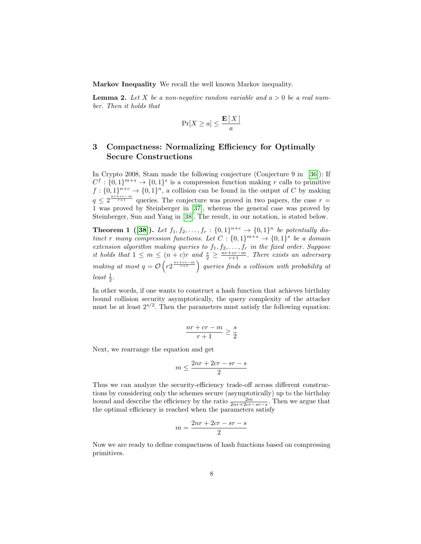Markov Inequality We recall the well known Markov inequality.

**Lemma 2.** Let X be a non-negative random variable and  $a > 0$  be a real number. Then it holds that

$$
\Pr[X \ge a] \le \frac{\mathbf{E}[X]}{a}
$$

# <span id="page-7-0"></span>3 Compactness: Normalizing Efficiency for Optimally Secure Constructions

In Crypto 2008, Stam made the following conjecture (Conjecture 9 in [\[36\]](#page-30-5)): If  $C^f: \{0,1\}^{m+s} \to \{0,1\}^s$  is a compression function making r calls to primitive  $f: \{0,1\}^{n+c} \to \{0,1\}^n$ , a collision can be found in the output of C by making  $q \leq 2^{\frac{n r + c r - m}{r+1}}$  queries. The conjecture was proved in two papers, the case  $r =$ 1 was proved by Steinberger in [\[37\]](#page-30-6), whereas the general case was proved by Steinberger, Sun and Yang in [\[38\]](#page-30-7). The result, in our notation, is stated below.

**Theorem 1** ([\[38\]](#page-30-7)). Let  $f_1, f_2, ..., f_r : \{0, 1\}^{n+c} \to \{0, 1\}^n$  be potentially distinct r many compression functions. Let  $C: \{0,1\}^{m+s} \to \{0,1\}^s$  be a domain extension algorithm making queries to  $f_1, f_2, \ldots, f_r$  in the fixed order. Suppose it holds that  $1 \leq m \leq (n + c)r$  and  $\frac{s}{2} \geq \frac{nr+cr-m}{r+1}$ . There exists an adversary making at most  $q = \mathcal{O}\left(r2^{\frac{nr+cr-m}{r+1}}\right)$  queries finds a collision with probability at  $least\ \frac{1}{2}.$ 

In other words, if one wants to construct a hash function that achieves birthday bound collision security asymptotically, the query complexity of the attacker must be at least  $2^{s/2}$ . Then the parameters must satisfy the following equation:

$$
\frac{nr+cr-m}{r+1}\geq \frac{s}{2}
$$

Next, we rearrange the equation and get

$$
m \le \frac{2nr + 2cr - sr - s}{2}
$$

Thus we can analyze the security-efficiency trade-off across different constructions by considering only the schemes secure (asymptotically) up to the birthday bound and describe the efficiency by the ratio  $\frac{2m}{2nr+2cr-sr-s}$ . Then we argue that the optimal efficiency is reached when the parameters satisfy

$$
m = \frac{2nr + 2cr - sr - s}{2}
$$

Now we are ready to define compactness of hash functions based on compressing primitives.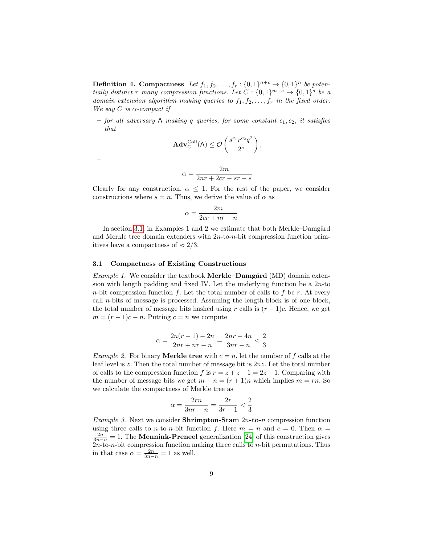**Definition 4. Compactness** Let  $f_1, f_2, \ldots, f_r : \{0,1\}^{n+c} \to \{0,1\}^n$  be potentially distinct r many compression functions. Let  $C: \{0,1\}^{m+s} \to \{0,1\}^s$  be a domain extension algorithm making queries to  $f_1, f_2, \ldots, f_r$  in the fixed order. We say  $C$  is  $\alpha$ -compact if

– for all adversary A making q queries, for some constant  $c_1, c_2$ , it satisfies that

$$
\mathbf{Adv}_{C}^{\text{Coll}}(\mathsf{A}) \leq \mathcal{O}\left(\frac{s^{c_1}r^{c_2}q^2}{2^s}\right),\,
$$
  

$$
2m
$$

$$
\alpha = \frac{2m}{2nr + 2cr - sr - s}
$$

Clearly for any construction,  $\alpha \leq 1$ . For the rest of the paper, we consider constructions where  $s = n$ . Thus, we derive the value of  $\alpha$  as

$$
\alpha = \frac{2m}{2cr + nr - n}
$$

In section [3.1,](#page-8-0) in Examples 1 and 2 we estimate that both Merkle–Damgård and Merkle tree domain extenders with 2n-to-n-bit compression function primitives have a compactness of  $\approx 2/3$ .

# <span id="page-8-0"></span>3.1 Compactness of Existing Constructions

–

Example 1. We consider the textbook Merkle–Damgård (MD) domain extension with length padding and fixed IV. Let the underlying function be a  $2n$ -to n-bit compression function f. Let the total number of calls to f be r. At every call *n*-bits of message is processed. Assuming the length-block is of one block, the total number of message bits hashed using r calls is  $(r-1)c$ . Hence, we get  $m = (r - 1)c - n$ . Putting  $c = n$  we compute

$$
\alpha = \frac{2n(r-1) - 2n}{2nr + nr - n} = \frac{2nr - 4n}{3nr - n} < \frac{2}{3}
$$

*Example 2.* For binary **Merkle tree** with  $c = n$ , let the number of f calls at the leaf level is z. Then the total number of message bit is  $2nz$ . Let the total number of calls to the compression function f is  $r = z + z - 1 = 2z - 1$ . Comparing with the number of message bits we get  $m + n = (r + 1)n$  which implies  $m = rn$ . So we calculate the compactness of Merkle tree as

$$
\alpha = \frac{2rn}{3nr - n} = \frac{2r}{3r - 1} < \frac{2}{3}
$$

*Example 3.* Next we consider **Shrimpton-Stam**  $2n$ -to-n compression function using three calls to *n*-to-*n*-bit function f. Here  $m = n$  and  $c = 0$ . Then  $\alpha =$  $\frac{2n}{3n-n} = 1$ . The **Mennink-Preneel** generalization [\[24\]](#page-29-8) of this construction gives  $2n$ -to-n-bit compression function making three calls to n-bit permutations. Thus in that case  $\alpha = \frac{2n}{3n-n} = 1$  as well.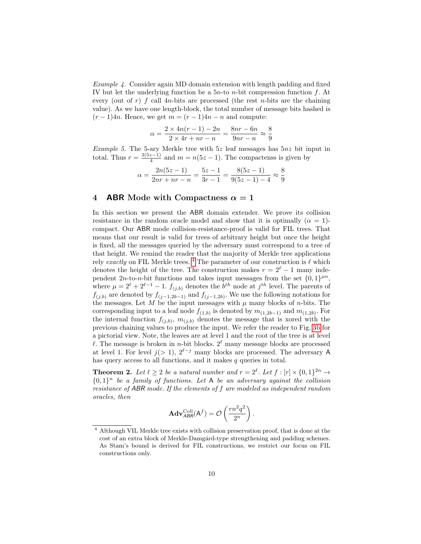Example 4. Consider again MD domain extension with length padding and fixed IV but let the underlying function be a  $5n$ -to n-bit compression function f. At every (out of r) f call  $4n$ -bits are processed (the rest n-bits are the chaining value). As we have one length-block, the total number of message bits hashed is  $(r-1)4n$ . Hence, we get  $m = (r-1)4n - n$  and compute:

$$
\alpha = \frac{2 \times 4n(r-1) - 2n}{2 \times 4r + nr - n} = \frac{8nr - 6n}{9nr - n} \approx \frac{8}{9}
$$

Example 5. The 5-ary Merkle tree with  $5z$  leaf messages has  $5nz$  bit input in total. Thus  $r = \frac{3(5z-1)}{4}$  $\frac{z-1}{4}$  and  $m = n(5z - 1)$ . The compactenss is given by

$$
\alpha = \frac{2n(5z - 1)}{2nr + nr - n} = \frac{5z - 1}{3r - 1} = \frac{8(5z - 1)}{9(5z - 1) - 4} \approx \frac{8}{9}
$$

# <span id="page-9-0"></span>4 **ABR** Mode with Compactness  $\alpha = 1$

In this section we present the ABR domain extender. We prove its collision resistance in the random oracle model and show that it is optimally  $(\alpha = 1)$ compact. Our ABR mode collision-resistance-proof is valid for FIL trees. That means that our result is valid for trees of arbitrary height but once the height is fixed, all the messages queried by the adversary must correspond to a tree of that height. We remind the reader that the majority of Merkle tree applications rely exactly on FIL Merkle trees.<sup>[4](#page-9-1)</sup> The parameter of our construction is  $\ell$  which denotes the height of the tree. The construction makes  $r = 2^{\ell} - 1$  many independent  $2n$ -to-n-bit functions and takes input messages from the set  $\{0,1\}^{\mu n}$ , where  $\mu = 2^{\ell} + 2^{\ell-1} - 1$ .  $f_{(j,b)}$  denotes the  $b^{th}$  node at  $j^{th}$  level. The parents of  $f_{(j,b)}$  are denoted by  $f_{(j-1,2b-1)}$  and  $f_{(j-1,2b)}$ . We use the following notations for the messages. Let  $M$  be the input messages with  $\mu$  many blocks of *n*-bits. The corresponding input to a leaf node  $f_{(1,b)}$  is denoted by  $m_{(1,2b-1)}$  and  $m_{(1,2b)}$ . For the internal function  $f_{(j,b)}, m_{(j,b)}$  denotes the message that is xored with the previous chaining values to produce the input. We refer the reader to Fig. [3b](#page-10-0) for a pictorial view. Note, the leaves are at level 1 and the root of the tree is at level  $\ell$ . The message is broken in *n*-bit blocks.  $2^{\ell}$  many message blocks are processed at level 1. For level  $j(> 1)$ ,  $2^{\ell-j}$  many blocks are processed. The adversary A has query access to all functions, and it makes  $q$  queries in total.

<span id="page-9-2"></span>**Theorem 2.** Let  $\ell \geq 2$  be a natural number and  $r = 2^{\ell}$ . Let  $f : [r] \times \{0, 1\}^{2n} \rightarrow$  ${0,1}^n$  be a family of functions. Let A be an adversary against the collision resistance of ABR mode. If the elements of f are modeled as independent random oracles, then

$$
\mathbf{Adv}_{ABR}^{\mathrm{Coll}}(\mathsf{A}^f) = \mathcal{O}\left(\frac{rn^2q^2}{2^n}\right).
$$

<span id="page-9-1"></span><sup>4</sup> Although VIL Merkle tree exists with collision preservation proof, that is done at the cost of an extra block of Merkle-Damgård-type strengthening and padding schemes. As Stam's bound is derived for FIL constructions, we restrict our focus on FIL constructions only.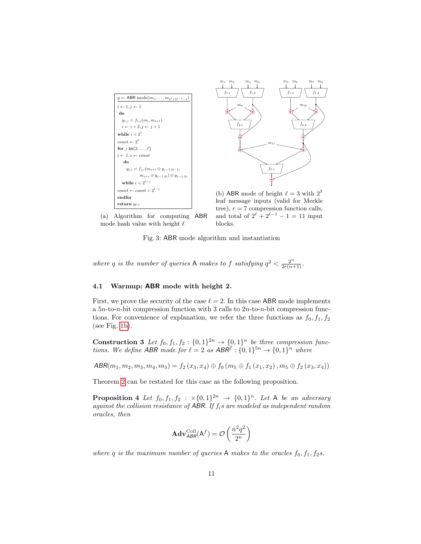<span id="page-10-0"></span>

(a) Algorithm for computing ABR mode hash value with height  $\ell$ 



(b) ABR mode of height  $\ell = 3$  with  $2^3$ leaf message inputs (valid for Merkle tree),  $r = 7$  compression function calls, and total of  $2^{\ell} + 2^{\ell-1} - 1 = 11$  input blocks.

Fig. 3: ABR mode algorithm and instantiation

where q is the number of queries A makes to f satisfying  $q^2 < \frac{2^n}{2e(n+1)}$ .

### 4.1 Warmup: ABR mode with height 2.

First, we prove the security of the case  $\ell = 2$ . In this case ABR mode implements a  $5n$ -to-n-bit compression function with 3 calls to  $2n$ -to-n-bit compression functions. For convenience of explanation, we refer the three functions as  $f_0, f_1, f_2$ (see Fig. [1b\)](#page-3-0).

**Construction 3** Let  $f_0, f_1, f_2 : \{0, 1\}^{2n} \to \{0, 1\}^n$  be three compression functions. We define ABR mode for  $\ell = 2$  as  $ABR^f : \{0, 1\}^{5n} \to \{0, 1\}^n$  where

$$
\mathsf{ABR}(m_1,m_2,m_3,m_4,m_5) = f_2(x_3,x_4) \oplus f_0(m_5 \oplus f_1(x_1,x_2),m_5 \oplus f_2(x_3,x_4))
$$

<span id="page-10-1"></span>Theorem [2](#page-9-2) can be restated for this case as the following proposition.

**Proposition 4** Let  $f_0, f_1, f_2 : \times \{0, 1\}^{2n} \rightarrow \{0, 1\}^n$ . Let A be an adversary against the collision resistance of ABR. If  $f_i$ s are modeled as independent random oracles, then

$$
\mathbf{Adv}_{ABR}^{\text{Coll}}(\mathsf{A}^f) = \mathcal{O}\left(\frac{n^2q^2}{2^n}\right)
$$

where q is the maximum number of queries A makes to the oracles  $f_0, f_1, f_2$ s.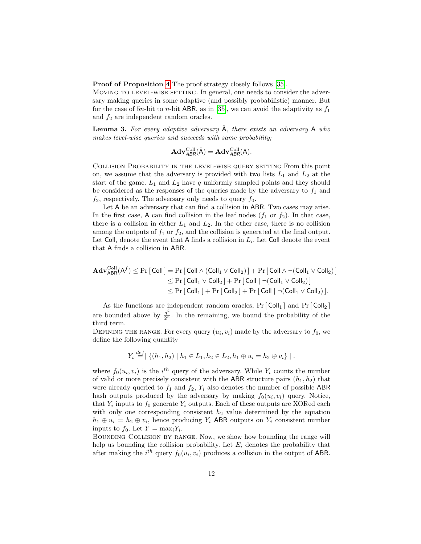Proof of Proposition [4](#page-10-1) The proof strategy closely follows [\[35\]](#page-30-8).

MOVING TO LEVEL-WISE SETTING. In general, one needs to consider the adversary making queries in some adaptive (and possibly probabilistic) manner. But for the case of 5n-bit to n-bit ABR, as in [\[35\]](#page-30-8), we can avoid the adaptivity as  $f_1$ and  $f_2$  are independent random oracles.

**Lemma 3.** For every adaptive adversary  $\hat{A}$ , there exists an adversary  $A$  who makes level-wise queries and succeeds with same probability;

$$
\mathbf{Adv}_{ABR}^{\mathrm{Coll}}(\hat{A}) = \mathbf{Adv}_{ABR}^{\mathrm{Coll}}(A).
$$

Collision Probability in the level-wise query setting From this point on, we assume that the adversary is provided with two lists  $L_1$  and  $L_2$  at the start of the game.  $L_1$  and  $L_2$  have q uniformly sampled points and they should be considered as the responses of the queries made by the adversary to  $f_1$  and  $f_2$ , respectively. The adversary only needs to query  $f_0$ .

Let A be an adversary that can find a collision in ABR. Two cases may arise. In the first case, A can find collision in the leaf nodes  $(f_1 \text{ or } f_2)$ . In that case, there is a collision in either  $L_1$  and  $L_2$ . In the other case, there is no collision among the outputs of  $f_1$  or  $f_2$ , and the collision is generated at the final output. Let  $\textsf{Coll}_i$  denote the event that A finds a collision in  $L_i$ . Let  $\textsf{Coll}$  denote the event that A finds a collision in ABR.

$$
\begin{aligned}\n\mathbf{Adv}_{\mathsf{ABR}}^{\mathrm{Coll}}(\mathsf{A}^f) &\leq \Pr\left[\,\mathsf{Coll}\,\right] = \Pr\left[\,\mathsf{Coll}\,\wedge\,(\mathsf{Coll}_1\vee\mathsf{Coll}_2)\,\right] + \Pr\left[\,\mathsf{Coll}\,\wedge\,\neg(\mathsf{Coll}_1\vee\mathsf{Coll}_2)\,\right] \\
&\leq \Pr\left[\,\mathsf{Coll}_1\vee\mathsf{Coll}_2\,\right] + \Pr\left[\,\mathsf{Coll}\,\mid\,\neg(\mathsf{Coll}_1\vee\mathsf{Coll}_2)\,\right] \\
&\leq \Pr\left[\,\mathsf{Coll}_1\,\right] + \Pr\left[\,\mathsf{Coll}_2\,\right] + \Pr\left[\,\mathsf{Coll}\,\mid\,\neg(\mathsf{Coll}_1\vee\mathsf{Coll}_2)\,\right].\n\end{aligned}
$$

As the functions are independent random oracles,  $Pr[\text{Coll}_1]$  and  $Pr[\text{Coll}_2]$ are bounded above by  $\frac{q^2}{2^n}$ . In the remaining, we bound the probability of the third term.

DEFINING THE RANGE. For every query  $(u_i, v_i)$  made by the adversary to  $f_0$ , we define the following quantity

$$
Y_i \stackrel{def}{=} \left| \{ (h_1, h_2) \mid h_1 \in L_1, h_2 \in L_2, h_1 \oplus u_i = h_2 \oplus v_i \} \right|.
$$

 $\overline{a}$ .

where  $f_0(u_i, v_i)$  is the  $i^{th}$  query of the adversary. While  $Y_i$  counts the number of valid or more precisely consistent with the ABR structure pairs  $(h_1, h_2)$  that were already queried to  $f_1$  and  $f_2$ ,  $Y_i$  also denotes the number of possible ABR hash outputs produced by the adversary by making  $f_0(u_i, v_i)$  query. Notice, that  $Y_i$  inputs to  $f_0$  generate  $Y_i$  outputs. Each of these outputs are XORed each with only one corresponding consistent  $h_2$  value determined by the equation  $h_1 \oplus u_i = h_2 \oplus v_i$ , hence producing  $Y_i$  ABR outputs on  $Y_i$  consistent number inputs to  $f_0$ . Let  $Y = \max_i Y_i$ .

Bounding Collision by range. Now, we show how bounding the range will help us bounding the collision probability. Let  $E_i$  denotes the probability that after making the  $i^{th}$  query  $f_0(u_i, v_i)$  produces a collision in the output of ABR.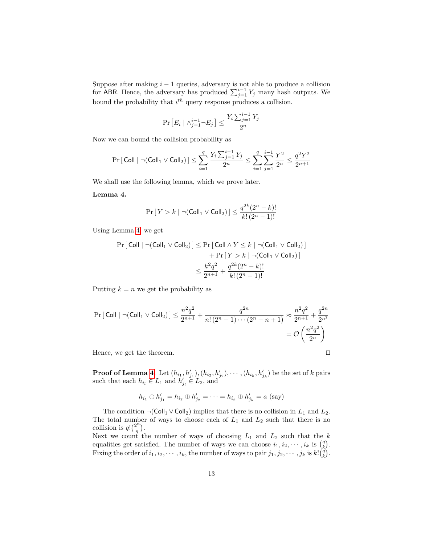Suppose after making  $i - 1$  queries, adversary is not able to produce a collision for ABR. Hence, the adversary has produced  $\sum_{j=1}^{i-1} Y_j$  many hash outputs. We bound the probability that  $i^{th}$  query response produces a collision.

<span id="page-12-0"></span>
$$
\Pr\left[E_i \mid \wedge_{j=1}^{i-1} \neg E_j\right] \le \frac{Y_i \sum_{j=1}^{i-1} Y_j}{2^n}
$$

Now we can bound the collision probability as

$$
\Pr\left[\left.\mathsf{Coll}\left.\right| \neg (\mathsf{Coll}_1 \vee \mathsf{Coll}_2)\right.\right] \le \sum_{i=1}^q \frac{Y_i \sum_{j=1}^{i-1} Y_j}{2^n} \le \sum_{i=1}^q \sum_{j=1}^{i-1} \frac{Y^2}{2^n} \le \frac{q^2 Y^2}{2^{n+1}}
$$

We shall use the following lemma, which we prove later.

# Lemma 4.

$$
\Pr\left[\,Y > k \mid \neg(\mathsf{Coll}_1 \vee \mathsf{Coll}_2)\,\right] \le \frac{q^{2k}(2^n - k)!}{k!\,(2^n - 1)!}
$$

Using Lemma [4,](#page-12-0) we get

$$
\Pr\left[\text{Coll} \mid \neg(\text{Coll}_1 \vee \text{Coll}_2)\right] \le \Pr\left[\text{Coll} \wedge Y \le k \mid \neg(\text{Coll}_1 \vee \text{Coll}_2)\right] \\
+ \Pr\left[Y > k \mid \neg(\text{Coll}_1 \vee \text{Coll}_2)\right] \\
\le \frac{k^2 q^2}{2^{n+1}} + \frac{q^{2k}(2^n - k)!}{k! (2^n - 1)!}
$$

Putting  $k = n$  we get the probability as

$$
\Pr\left[\text{Coll} \mid \neg(\text{Coll}_1 \vee \text{Coll}_2)\right] \le \frac{n^2 q^2}{2^{n+1}} + \frac{q^{2n}}{n! (2^n - 1) \cdots (2^n - n + 1)} \approx \frac{n^2 q^2}{2^{n+1}} + \frac{q^{2n}}{2^{n^2}} = \mathcal{O}\left(\frac{n^2 q^2}{2^n}\right)
$$

Hence, we get the theorem.  $\Box$ 

**Proof of Lemma [4.](#page-12-0)** Let  $(h_{i_1}, h'_{j_1}), (h_{i_2}, h'_{j_2}), \cdots, (h_{i_k}, h'_{j_k})$  be the set of k pairs such that each  $h_{i_l} \in L_1$  and  $h'_{j_l} \in L_2$ , and

$$
h_{i_1} \oplus h'_{j_1} = h_{i_2} \oplus h'_{j_2} = \cdots = h_{i_k} \oplus h'_{j_k} = a
$$
 (say)

The condition  $\neg$ (Coll<sub>1</sub> ∨ Coll<sub>2</sub>) implies that there is no collision in L<sub>1</sub> and L<sub>2</sub>. The total number of ways to choose each of  $L_1$  and  $L_2$  such that there is no collision is  $q! \binom{2^n}{q}$  $\binom{2^n}{q}$ .

Next we count the number of ways of choosing  $L_1$  and  $L_2$  such that the k equalities get satisfied. The number of ways we can choose  $i_1, i_2, \dots, i_k$  is  $\binom{q}{k}$ . Fixing the order of  $i_1, i_2, \dots, i_k$ , the number of ways to pair  $j_1, j_2, \dots, j_k$  is  $k! \binom{\tilde{q}}{k}$ .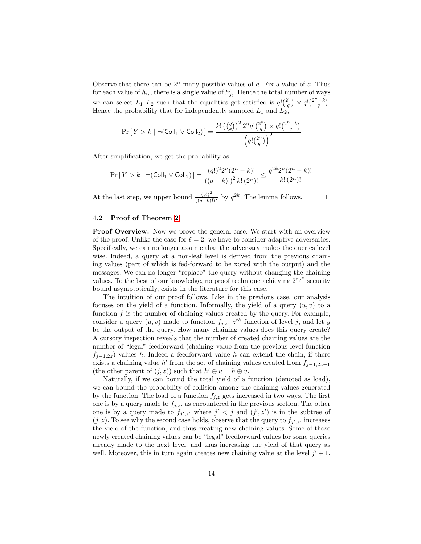Observe that there can be  $2^n$  many possible values of a. Fix a value of a. Thus for each value of  $h_{i_l}$ , there is a single value of  $h'_{j_l}$ . Hence the total number of ways we can select  $L_1, L_2$  such that the equalities get satisfied is  $q! \binom{2^n}{q}$  $q^{2^n}$ ) ×  $q!$  $\binom{2^n-k}{q}$ . Hence the probability that for independently sampled  $L_1$  and  $L_2$ ,

$$
\Pr\left[\,Y>k\mid\neg(\mathsf{Coll}_1\vee\mathsf{Coll}_2)\,\right]=\frac{k!\left(\binom{q}{k}\right)^22^nq!\binom{2^n}{q}\times q!\binom{2^n-k}{q}}{\left(q!\binom{2^n}{q}\right)^2}
$$

After simplification, we get the probability as

$$
\Pr\left[\,Y > k \mid \neg(\mathsf{Coll}_1 \vee \mathsf{Coll}_2)\,\right] = \frac{(q!)^2 2^n (2^n - k)!}{\left((q-k)!\right)^2 k! \left(2^n\right)!} \le \frac{q^{2k} 2^n (2^n - k)!}{k! \left(2^n\right)!}
$$

At the last step, we upper bound  $\frac{(q!)^2}{((q-k)!)^2}$  by  $q^{2k}$ . The lemma follows.

### 4.2 Proof of Theorem [2](#page-9-2)

Proof Overview. Now we prove the general case. We start with an overview of the proof. Unlike the case for  $\ell = 2$ , we have to consider adaptive adversaries. Specifically, we can no longer assume that the adversary makes the queries level wise. Indeed, a query at a non-leaf level is derived from the previous chaining values (part of which is fed-forward to be xored with the output) and the messages. We can no longer "replace" the query without changing the chaining values. To the best of our knowledge, no proof technique achieving  $2^{n/2}$  security bound asymptotically, exists in the literature for this case.

The intuition of our proof follows. Like in the previous case, our analysis focuses on the yield of a function. Informally, the yield of a query  $(u, v)$  to a function  $f$  is the number of chaining values created by the query. For example, consider a query  $(u, v)$  made to function  $f_{j,z}$ ,  $z^{th}$  function of level j, and let y be the output of the query. How many chaining values does this query create? A cursory inspection reveals that the number of created chaining values are the number of "legal" feedforward (chaining value from the previous level function  $f_{j-1,2z}$ ) values h. Indeed a feedforward value h can extend the chain, if there exists a chaining value h' from the set of chaining values created from  $f_{j-1,2z-1}$ (the other parent of  $(j, z)$ ) such that  $h' \oplus u = h \oplus v$ .

Naturally, if we can bound the total yield of a function (denoted as load), we can bound the probability of collision among the chaining values generated by the function. The load of a function  $f_{j,z}$  gets increased in two ways. The first one is by a query made to  $f_{j,z}$ , as encountered in the previous section. The other one is by a query made to  $f_{j',z'}$  where  $j' < j$  and  $(j',z')$  is in the subtree of  $(j, z)$ . To see why the second case holds, observe that the query to  $f_{j', z'}$  increases the yield of the function, and thus creating new chaining values. Some of those newly created chaining values can be "legal" feedforward values for some queries already made to the next level, and thus increasing the yield of that query as well. Moreover, this in turn again creates new chaining value at the level  $j' + 1$ .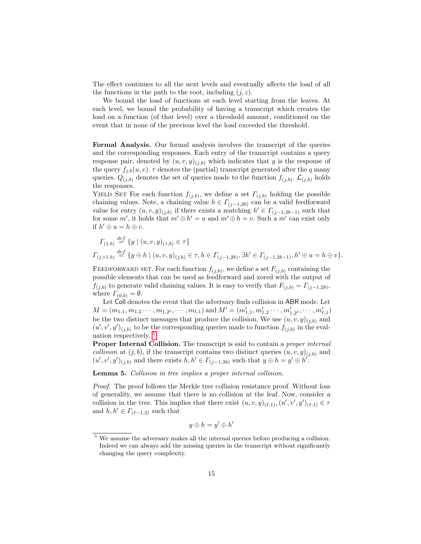The effect continues to all the next levels and eventually affects the load of all the functions in the path to the root, including  $(j, z)$ .

We bound the load of functions at each level starting from the leaves. At each level, we bound the probability of having a transcript which creates the load on a function (of that level) over a threshold amount, conditioned on the event that in none of the previous level the load exceeded the threshold.

Formal Analysis. Our formal analysis involves the transcript of the queries and the corresponding responses. Each entry of the transcript contains a query response pair, denoted by  $(u, v, y)_{(j,b)}$  which indicates that y is the response of the query  $f_{j,b}(u, v)$ .  $\tau$  denotes the (partial) transcript generated after the q many queries.  $Q_{(j,b)}$  denotes the set of queries made to the function  $f_{(j,b)}$ .  $\mathcal{L}_{(j,b)}$  holds the responses.

YIELD SET For each function  $f_{(j,b)}$ , we define a set  $\Gamma_{(j,b)}$  holding the possible chaining values. Note, a chaining value  $h \in \Gamma_{(j-1,2b)}$  can be a valid feedforward value for entry  $(u, v, y)_{(j,b)}$  if there exists a matching  $h' \in \Gamma_{(j-1,2b-1)}$  such that for some m', it holds that  $m' \oplus h' = u$  and  $m' \oplus h = v$ . Such a m' can exist only if  $h' \oplus u = h \oplus v$ .

$$
I_{(1,b)} \stackrel{def}{=} \{y \mid (u,v,y)_{(1,b)} \in \tau\}
$$
  

$$
I_{(j>1,b)} \stackrel{def}{=} \{y \oplus h \mid (u,v,y)_{(j,b)} \in \tau, h \in I_{(j-1,2b)}, \exists h' \in I_{(j-1,2b-1)}, h' \oplus u = h \oplus v\}.
$$

FEEDFORWARD SET. For each function  $f_{(j,b)}$ , we define a set  $F_{(j,b)}$  containing the possible elements that can be used as feedforward and xored with the output of  $f_{(j,b)}$  to generate valid chaining values. It is easy to verify that  $F_{(j,b)} = \Gamma_{(j-1,2b)}$ , where  $\Gamma_{(0,b)} = \emptyset$ .

Let Coll denotes the event that the adversary finds collision in ABR mode. Let  $M = (m_{1,1}, m_{1,2} \cdots, m_{1,2^{\ell}}, \cdots, m_{\ell,1})$  and  $M' = (m'_{1,1}, m'_{1,2} \cdots, m'_{1,2^{\ell}}, \cdots, m'_{\ell,1})$ be the two distinct messages that produce the collision. We use  $(u, v, y)_{(j,b)}$  and  $(u', v', y')_{(j,b)}$  to be the corresponding queries made to function  $f_{(j,b)}$  in the evaluation respectively. [5](#page-14-0)

Proper Internal Collision. The transcript is said to contain a *proper internal* collision at  $(j, b)$ , if the transcript contains two distinct queries  $(u, v, y)_{(i,b)}$  and  $(u', v', y')_{(j,b)}$  and there exists  $h, h' \in \Gamma_{(j-1, 2b)}$  such that  $y \oplus h = y' \oplus h'$ .

Lemma 5. Collision in tree implies a proper internal collision.

Proof. The proof follows the Merkle tree collision resistance proof. Without loss of generality, we assume that there is no collision at the leaf. Now, consider a collision in the tree. This implies that there exist  $(u, v, y)_{(\ell,1)}, (u', v', y')_{(\ell,1)} \in \tau$ and  $h, h' \in \Gamma_{(\ell-1,2)}$  such that

$$
y\oplus h=y'\oplus h'
$$

<span id="page-14-0"></span><sup>5</sup> We assume the adversary makes all the internal queries before producing a collision. Indeed we can always add the missing queries in the transcript without significantly changing the query complexity.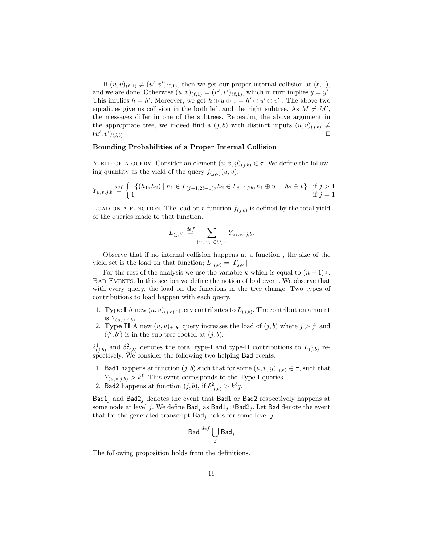If  $(u, v)_{(\ell,1)} \neq (u', v')_{(\ell,1)}$ , then we get our proper internal collision at  $(\ell, 1)$ , and we are done. Otherwise  $(u, v)_{(\ell,1)} = (u', v')_{(\ell,1)}$ , which in turn implies  $y = y'$ . This implies  $h = h'$ . Moreover, we get  $h \oplus u \oplus v = h' \oplus u' \oplus v'$ . The above two equalities give us collision in the both left and the right subtree. As  $M \neq M'$ , the messages differ in one of the subtrees. Repeating the above argument in the appropriate tree, we indeed find a  $(j, b)$  with distinct inputs  $(u, v)_{(i, b)} \neq$  $(u',v')_{(j,b)}$ . Utilization of the contract of the contract of the contract of the contract of the contract of the contract o

### Bounding Probabilities of a Proper Internal Collision

YIELD OF A QUERY. Consider an element  $(u, v, y)_{(j,b)} \in \tau$ . We define the following quantity as the yield of the query  $f_{(j,b)}(u, v)$ .

$$
Y_{u,v,j,b} \stackrel{\text{def}}{=} \begin{cases} \mid \{ (h_1, h_2) \mid h_1 \in \Gamma_{(j-1,2b-1)}, h_2 \in \Gamma_{j-1,2b}, h_1 \oplus u = h_2 \oplus v \} \mid \text{if } j > 1 \\ 1 & \text{if } j = 1 \end{cases}
$$

LOAD ON A FUNCTION. The load on a function  $f_{(j,b)}$  is defined by the total yield of the queries made to that function.

$$
L_{(j,b)} \stackrel{def}{=} \sum_{(u_i,v_i)\in Q_{j,b}} Y_{u_i,v_i,j,b}.
$$

Observe that if no internal collision happens at a function , the size of the yield set is the load on that function;  $L_{(j,b)} = | \Gamma_{j,b} |$ 

For the rest of the analysis we use the variable k which is equal to  $(n+1)^{\frac{1}{\ell}}$ . Bad Events. In this section we define the notion of bad event. We observe that with every query, the load on the functions in the tree change. Two types of contributions to load happen with each query.

- 1. **Type I** A new  $(u, v)_{(j,b)}$  query contributes to  $L_{(j,b)}$ . The contribution amount is  $Y_{(u,v,j,b)}$ .
- 2. **Type II** A new  $(u, v)_{j', b'}$  query increases the load of  $(j, b)$  where  $j > j'$  and  $(j', b')$  is in the sub-tree rooted at  $(j, b)$ .

 $\delta^1_{(j,b)}$  and  $\delta^2_{(j,b)}$  denotes the total type-I and type-II contributions to  $L_{(j,b)}$  respectively. We consider the following two helping Bad events.

- 1. Bad1 happens at function  $(j, b)$  such that for some  $(u, v, y)_{(j, b)} \in \tau$ , such that  $Y_{(u,v,j,b)} > k^{\ell}$ . This event corresponds to the Type I queries.
- 2. Bad2 happens at function  $(j, b)$ , if  $\delta^2_{(j, b)} > k^{\ell}q$ .

 $Bad1<sub>j</sub>$  and  $Bad2<sub>j</sub>$  denotes the event that Bad1 or Bad2 respectively happens at some node at level j. We define Bad<sub>j</sub> as Bad1<sub>j</sub>∪Bad2<sub>j</sub>. Let Bad denote the event that for the generated transcript  $\mathsf{Bad}_i$  holds for some level j.

<span id="page-15-0"></span>
$$
\mathsf{Bad} \stackrel{def}{=} \bigcup_j \mathsf{Bad}_j
$$

The following proposition holds from the definitions.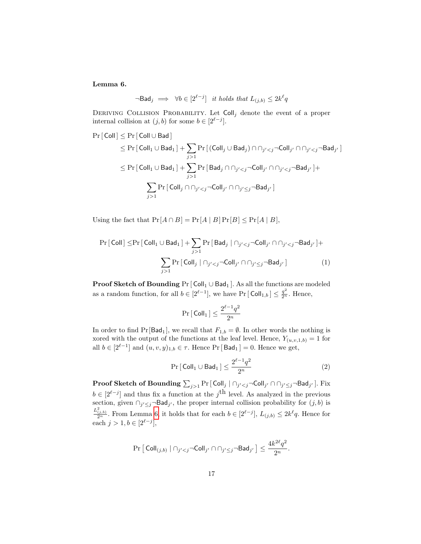Lemma 6.

$$
\neg \mathsf{Bad}_j \implies \forall b \in [2^{\ell-j}] \quad \text{it holds that } L_{(j,b)} \le 2k^{\ell}q
$$

DERIVING COLLISION PROBABILITY. Let  $\text{Coll}_j$  denote the event of a proper internal collision at  $(j, b)$  for some  $b \in [2^{\ell-j}]$ .

$$
\begin{aligned} \Pr\left[\,\text{Coll}\,\right] &\leq \Pr\left[\,\text{Coll}\cup\,\text{Bad}\,\right] \\ &\leq \Pr\left[\,\text{Coll}_1\cup\,\text{Bad}_1\,\right] + \sum_{j>1} \Pr\left[\,\left(\text{Coll}_j\cup\,\text{Bad}_j\right)\cap\cap_{j'1} \Pr\left[\,\text{Bad}_j\cap\cap_{j'1} \Pr\left[\,\text{Coll}_j\cap\cap_{j'
$$

Using the fact that  $Pr[A \cap B] = Pr[A | B] Pr[B] \leq Pr[A | B],$ 

$$
\Pr\left[\text{Coll}\right] \le \Pr\left[\text{Coll}_1 \cup \text{Bad}_1\right] + \sum_{j>1} \Pr\left[\text{Bad}_j \mid \bigcap_{j' < j} \neg \text{Coll}_{j'} \cap \bigcap_{j' < j} \neg \text{Bad}_{j'}\right] + \sum_{j>1} \Pr\left[\text{Coll}_j \mid \bigcap_{j' < j} \neg \text{Coll}_{j'} \cap \bigcap_{j' \le j} \neg \text{Bad}_{j'}\right] \tag{1}
$$

**Proof Sketch of Bounding** Pr  $\lceil$  Coll<sub>1</sub> ∪ Bad<sub>1</sub>  $\rceil$ . As all the functions are modeled as a random function, for all  $b \in [2^{\ell-1}]$ , we have Pr  $[Col|_{1,b}] \leq \frac{q^2}{2^n}$ . Hence,

<span id="page-16-1"></span><span id="page-16-0"></span>
$$
\Pr\left[\left.\mathsf{Coll}_1\right]\right.\leq \frac{2^{\ell-1}q^2}{2^n}
$$

In order to find Pr[Bad<sub>1</sub>], we recall that  $F_{1,b} = \emptyset$ . In other words the nothing is xored with the output of the functions at the leaf level. Hence,  $Y_{(u,v,1,b)} = 1$  for all  $b \in [2^{\ell-1}]$  and  $(u, v, y)_{1,b} \in \tau$ . Hence Pr [Bad<sub>1</sub>] = 0. Hence we get,

$$
\Pr\left[\text{Coll}_1 \cup \text{Bad}_1\right] \le \frac{2^{\ell-1}q^2}{2^n} \tag{2}
$$

 $\bf{Proof~S ketch~of~Bounding} \sum_{j>1} \Pr {[~\sf Coll}_j ~|~ \cap_{j' < j} \neg \sf Coll}_{j'} \cap \cap_{j' \le j} \neg \sf Bad}_{j'} {\rm].~Fix}$  $b \in [2^{\ell-j}]$  and thus fix a function at the j<sup>th</sup> level. As analyzed in the previous section, given  $\bigcap_{j' \leq j} \neg \mathsf{Bad}_{j'}$ , the proper internal collision probability for  $(j, b)$  is  $\frac{L^2_{(j,b)}}{2^n}$ . From Lemma [6,](#page-15-0) it holds that for each  $b \in [2^{\ell-j}], L_{(j,b)} \leq 2k^{\ell}q$ . Hence for each  $j > 1, b \in [2^{\ell-j}],$ 

$$
\Pr\left[\left.\mathsf{Coll}_{(j,b)}\;\right|\cap_{j'
$$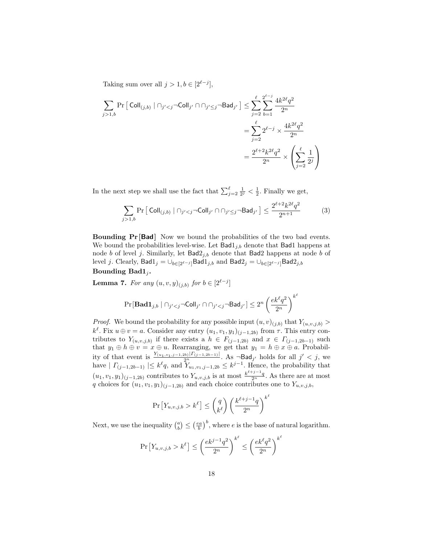Taking sum over all  $j > 1, b \in [2^{\ell-j}],$ 

$$
\begin{aligned} \sum_{j>1,b}\Pr\big[\operatorname{Coll}_{(j,b)}\mid\cap_{j'
$$

In the next step we shall use the fact that  $\sum_{j=2}^{\ell} \frac{1}{2^{j}} < \frac{1}{2}$ . Finally we get,

<span id="page-17-1"></span>
$$
\sum_{j>1,b} \Pr\left[\text{Coll}_{(j,b)} \mid \bigcap_{j' < j} \neg \text{Coll}_{j'} \cap \bigcap_{j' \leq j} \neg \text{Bad}_{j'}\right] \leq \frac{2^{\ell+2} k^{2\ell} q^2}{2^{n+1}}\tag{3}
$$

Bounding Pr [Bad] Now we bound the probabilities of the two bad events. We bound the probabilities level-wise. Let  $Bad1_{j,b}$  denote that Bad1 happens at node b of level j. Similarly, let  $Bad2_{j,b}$  denote that Bad2 happens at node b of level j. Clearly,  $\textsf{Bad1}_j = \bigcup_{b \in [2^{\ell-j}]} \textsf{Bad1}_{j,b}$  and  $\textsf{Bad2}_j = \bigcup_{b \in [2^{\ell-j}]} \textsf{Bad2}_{j,b}$ Bounding  $Bad1_i$ .

**Lemma 7.** For any  $(u, v, y)_{(j,b)}$  for  $b \in [2^{\ell-j}]$ 

<span id="page-17-0"></span>
$$
\Pr[\mathbf{Bad1}_{j,b} \mid \cap_{j' < j} \neg\mathsf{Coll}_{j'} \cap \cap_{j' < j} \neg\mathsf{Bad}_{j'}] \leq 2^n \left(\frac{ek^\ell q^2}{2^n}\right)^{k^\ell}
$$

*Proof.* We bound the probability for any possible input  $(u, v)_{(j,b)}$  that  $Y_{(u, v, j, b)}$  $k^{\ell}$ . Fix  $u \oplus v = a$ . Consider any entry  $(u_1, v_1, y_1)_{(j-1, 2b)}$  from  $\tau$ . This entry contributes to  $Y_{(u,v,j,b)}$  if there exists a  $h \in F_{(j-1,2b)}$  and  $x \in \Gamma_{(j-1,2b-1)}$  such that  $y_1 \oplus h \oplus v = x \oplus u$ . Rearranging, we get that  $y_1 = h \oplus x \oplus a$ . Probability of that event is  $\frac{Y_{(u_1, v_1, j-1, 2b)} |Y_{(j-1, 2b-1)}|}{2^n}$ . As  $\neg$ Bad<sub>j'</sub> holds for all  $j' < j$ , we have  $| \Gamma_{(j-1,2b-1)} | \leq k^{\ell} q$ , and  $Y_{u_1,v_1,j-1,2b} \leq k^{j-1}$ . Hence, the probability that  $(u_1, v_1, y_1)_{(j-1, 2b)}$  contributes to  $Y_{u, v, j, b}$  is at most  $\frac{k^{\ell+j-1}q}{2^n}$ . As there are at most q choices for  $(u_1, v_1, y_1)_{(j-1, 2b)}$  and each choice contributes one to  $Y_{u,v,j,b}$ ,

$$
\Pr\left[Y_{u,v,j,b} > k^{\ell}\right] \leq \binom{q}{k^{\ell}} \left(\frac{k^{\ell+j-1}q}{2^n}\right)^{k^{\ell}}
$$

Next, we use the inequality  $\binom{a}{b} \leq \left(\frac{ea}{b}\right)^b$ , where e is the base of natural logarithm.

$$
\Pr\left[Y_{u,v,j,b} > k^{\ell}\right] \le \left(\frac{ek^{j-1}q^2}{2^n}\right)^{k^{\ell}} \le \left(\frac{ek^{\ell}q^2}{2^n}\right)^{k^{\ell}}
$$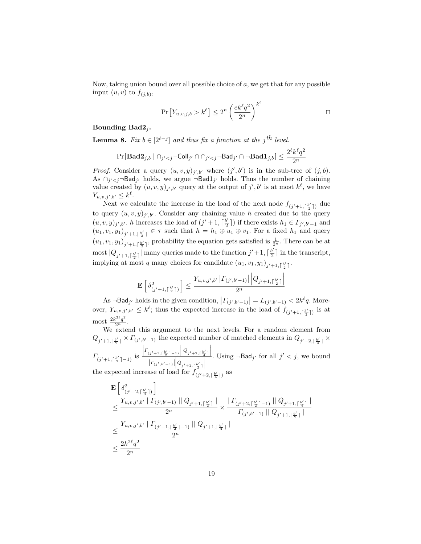Now, taking union bound over all possible choice of  $a$ , we get that for any possible input  $(u, v)$  to  $f_{(j,b)}$ ,

$$
\Pr\left[Y_{u,v,j,b} > k^{\ell}\right] \le 2^{n} \left(\frac{ek^{\ell}q^{2}}{2^{n}}\right)^{k^{\ell}}
$$

# Bounding  $Bad2_i$ .

<span id="page-18-0"></span>**Lemma 8.** Fix  $b \in [2^{\ell-j}]$  and thus fix a function at the j<sup>th</sup> level.

$$
\Pr\left[\mathbf{Bad2}_{j,b} \mid \cap_{j' < j} \neg\mathsf{Coll}_{j'} \cap \cap_{j' < j} \neg\mathsf{Bad}_{j'} \cap \neg\mathbf{Bad1}_{j,b}\right] \leq \frac{2^\ell k^\ell q^2}{2^n}
$$

*Proof.* Consider a query  $(u, v, y)_{j', b'}$  where  $(j', b')$  is in the sub-tree of  $(j, b)$ . As  $\bigcap_{j' < j} \neg \mathsf{Bad}_{j'}$  holds, we argue  $\neg \mathsf{Bad1}_{j'}$  holds. Thus the number of chaining value created by  $(u, v, y)_{j', b'}$  query at the output of j', b' is at most  $k^{\ell}$ , we have  $Y_{u,v,j',b'} \leq k^{\ell}.$ 

Next we calculate the increase in the load of the next node  $f_{(j'+1,\lceil\frac{b'}{2}\rceil)}$  due to query  $(u, v, y)_{j', b'}$ . Consider any chaining value h created due to the query  $(u, v, y)_{j', b'}$ . h increases the load of  $(j' + 1, \lceil \frac{b'}{2} \rceil)$  $(\frac{b'}{2})$  if there exists  $h_1 \in \Gamma_{j',b'-1}$  and  $(u_1, v_1, y_1)_{j'+1, \lceil \frac{b'}{2} \rceil} \in \tau$  such that  $h = h_1 \oplus u_1 \oplus v_1$ . For a fixed  $h_1$  and query  $(u_1, v_1, y_1)_{j'+1, \lceil \frac{b'}{2} \rceil}$ , probability the equation gets satisfied is  $\frac{1}{2^n}$ . There can be at most  $|Q_{j'+1,\lceil\frac{b'}{2}\rceil}|$  many queries made to the function  $j'+1,\lceil\frac{b'}{2}\rceil$  $\frac{b'}{2}$  in the transcript, implying at most q many choices for candidate  $(u_1, v_1, y_1)_{j'+1, \lceil \frac{b'}{2} \rceil}$ .

$$
\mathbf{E}\left[\left.\delta^2_{(j'+1,\lceil\frac{b'}{2}\rceil)}\right.\right] \le \frac{Y_{u,v,j',b'}\left|\varGamma_{(j',b'-1)}\right|\left|Q_{j'+1,\lceil\frac{b'}{2}\rceil}\right|}{2^n}
$$

As  $\neg$ Bad<sub>j</sub>, holds in the given condition,  $\left|\Gamma_{(j',b'-1)}\right| = L_{(j',b'-1)} < 2k^{\ell}q$ . Moreover,  $Y_{u,v,j',b'} \leq k^{\ell}$ ; thus the expected increase in the load of  $f_{(j'+1,\lceil \frac{b'}{2}\rceil)}$  is at most  $\frac{2k^{2\ell}q^2}{2^n}$ .

We extend this argument to the next levels. For a random element from  $Q_{j'+1,\lceil \frac{b'}{2}\rceil} \times \Gamma_{(j',b'-1)}$  the expected number of matched elements in  $Q_{j'+2,\lceil \frac{b'}{4}\rceil} \times$  $\Gamma_{(j'+1,\lceil\frac{b'}{2}\rceil-1)}$  is  $\left| \Gamma_{(j'+1,\lceil \frac{b'}{2} \rceil-1)} \right|$  $\begin{array}{c} \hline \end{array}$  $\Big|Q_{j'+2,\lceil\frac{b'}{4}\rceil}$  $\begin{array}{c} \hline \end{array}$  $\left| \Gamma_{(j',b'-1)} \right| \left| Q_{j'+1,\lceil \frac{b'}{2} \rceil} \right|$  . Using  $\neg \text{Bad}_{j'}$  for all  $j' < j$ , we bound

the expected increase of load for  $f_{(j'+2,\lceil \frac{b'}{4}\rceil)}$  as

$$
\begin{split} & \mathbf{E} \left[ \, \delta^2_{(j'+2,\lceil \frac{b'}{4} \rceil)} \right] \\ & \leq \frac{Y_{u,v,j',b'} \mid \varGamma_{(j',b'-1)} \mid \mid Q_{j'+1,\lceil \frac{b'}{2} \rceil} \mid}{2^n} \times \frac{ \mid \varGamma_{(j'+2,\lceil \frac{b'}{2} \rceil-1)} \mid \mid Q_{j'+1,\lceil \frac{b'}{4} \rceil} \mid}{ \mid \varGamma_{(j',b'-1)} \mid \mid Q_{j'+1,\lceil \frac{b'}{2} \rceil} \mid} \\ & \leq \frac{Y_{u,v,j',b'} \mid \varGamma_{(j'+1,\lceil \frac{b'}{2} \rceil-1)} \mid \mid Q_{j'+1,\lceil \frac{b'}{4} \rceil} \mid}{2^n} \\ & \leq \frac{2k^{2\ell}q^2}{2^n} \end{split}
$$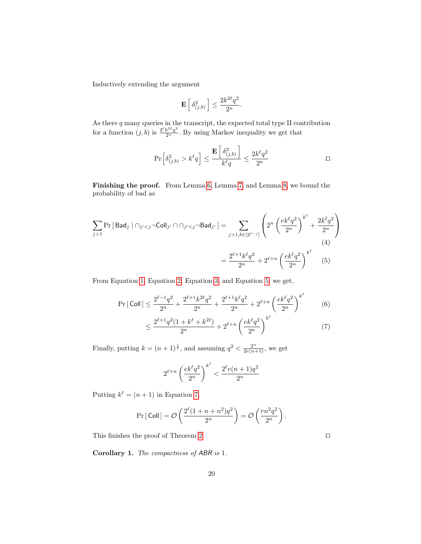Inductively extending the argument

$$
\mathbf{E}\left[\delta_{(j,b)}^2\right] \le \frac{2k^{2\ell}q^2}{2^n}.
$$

As there  $q$  many queries in the transcript, the expected total type II contribution for a function  $(j, b)$  is  $\frac{2^{\ell} k^{2\ell} q^3}{2^n}$ . By using Markov inequality we get that

$$
\Pr\left[\delta_{(j,b)}^2 > k^{\ell}q\right] \le \frac{\mathbf{E}\left[\delta_{(j,b)}^2\right]}{k^{\ell}q} \le \frac{2k^{\ell}q^2}{2^n}
$$

Finishing the proof. From Lemma [6,](#page-15-0) Lemma [7,](#page-17-0) and Lemma [8,](#page-18-0) we bound the probability of bad as

$$
\sum_{j>1} \Pr\left[\text{Bad}_{j} \mid \bigcap_{j' < j} \neg \text{Coll}_{j'} \cap \bigcap_{j' < j} \neg \text{Bad}_{j'}\right] = \sum_{j > 1, b \in [2^{\ell-j}]} \left( 2^{n} \left( \frac{ek^{\ell}q^{2}}{2^{n}} \right)^{k^{\ell}} + \frac{2k^{\ell}q^{2}}{2^{n}} \right)
$$
\n
$$
= \frac{2^{\ell+1}k^{\ell}q^{2}}{2^{n}} + 2^{\ell+n} \left( \frac{ek^{\ell}q^{2}}{2^{n}} \right)^{k^{\ell}} \tag{5}
$$

From Equation [1,](#page-16-0) Equation [2,](#page-16-1) Equation [3,](#page-17-1) and Equation [5,](#page-19-0) we get,

$$
\Pr\left[\text{Coll}\right] \le \frac{2^{\ell-1}q^2}{2^n} + \frac{2^{\ell+1}k^{2\ell}q^2}{2^n} + \frac{2^{\ell+1}k^{\ell}q^2}{2^n} + 2^{\ell+n}\left(\frac{ek^{\ell}q^2}{2^n}\right)^{k^{\ell}} \tag{6}
$$

$$
\leq \frac{2^{\ell+1}q^2(1+k^{\ell}+k^{2\ell})}{2^n} + 2^{\ell+n} \left(\frac{ek^{\ell}q^2}{2^n}\right)^{k^{\ell}} \tag{7}
$$

Finally, putting  $k = (n+1)^{\frac{1}{\ell}}$ , and assuming  $q^2 < \frac{2^n}{2e(n+1)}$ , we get

$$
2^{\ell+n} \left(\frac{ek^{\ell}q^2}{2^n}\right)^{k^{\ell}} < \frac{2^{\ell}e(n+1)q^2}{2^n}
$$

Putting  $k^{\ell} = (n+1)$  in Equation [7,](#page-19-1)

$$
\Pr[\text{Coll}] = \mathcal{O}\left(\frac{2^{\ell}(1+n+n^2)q^2}{2^n}\right) = \mathcal{O}\left(\frac{rn^2q^2}{2^n}\right).
$$

This finishes the proof of Theorem [2.](#page-9-2)  $\Box$ 

Corollary 1. The compactness of ABR is 1.

<span id="page-19-1"></span><span id="page-19-0"></span>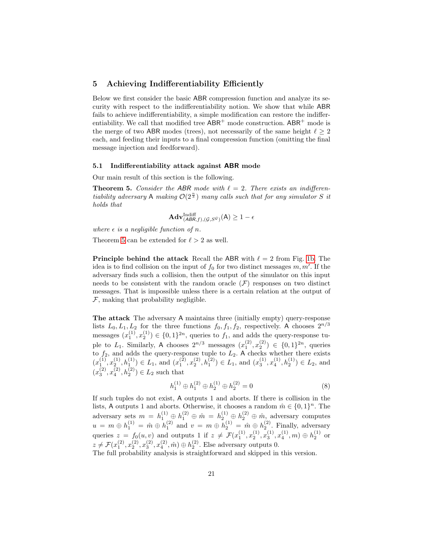# <span id="page-20-0"></span>5 Achieving Indifferentiability Efficiently

Below we first consider the basic ABR compression function and analyze its security with respect to the indifferentiability notion. We show that while ABR fails to achieve indifferentiability, a simple modification can restore the indifferentiability. We call that modified tree  $ABR^+$  mode construction.  $ABR^+$  mode is the merge of two ABR modes (trees), not necessarily of the same height  $\ell \geq 2$ each, and feeding their inputs to a final compression function (omitting the final message injection and feedforward).

# 5.1 Indifferentiability attack against ABR mode

Our main result of this section is the following.

**Theorem 5.** Consider the ABR mode with  $\ell = 2$ . There exists an indifferentiability adversary A making  $\mathcal{O}(2^{\frac{n}{3}})$  many calls such that for any simulator S it holds that

<span id="page-20-1"></span>
$$
\mathbf{Adv}_{(\mathcal{ABR},f),(\mathcal{G},S^{\mathcal{G}})}^{\text{Indiff}}(\mathsf{A}) \ge 1 - \epsilon
$$

where  $\epsilon$  is a negligible function of n.

Theorem [5](#page-20-1) can be extended for  $\ell > 2$  as well.

**Principle behind the attack** Recall the ABR with  $\ell = 2$  from Fig. [1b.](#page-3-0) The idea is to find collision on the input of  $f_0$  for two distinct messages  $m, m'$ . If the adversary finds such a collision, then the output of the simulator on this input needs to be consistent with the random oracle  $(F)$  responses on two distinct messages. That is impossible unless there is a certain relation at the output of  $F$ , making that probability negligible.

The attack The adversary A maintains three (initially empty) query-response lists  $L_0, L_1, L_2$  for the three functions  $f_0, f_1, f_2$ , respectively. A chooses  $2^{n/3}$ messages  $(x_1^{(1)}, x_2^{(1)}) \in \{0,1\}^{2n}$ , queries to  $f_1$ , and adds the query-response tuple to  $L_1$ . Similarly, A chooses  $2^{n/3}$  messages  $(x_1^{(2)}, x_2^{(2)}) \in \{0,1\}^{2n}$ , queries to  $f_2$ , and adds the query-response tuple to  $L_2$ . A checks whether there exists  $(x_1^{(1)}, x_2^{(1)}, h_1^{(1)}) \in L_1$ , and  $(x_1^{(2)}, x_2^{(2)}, h_1^{(2)}) \in L_1$ , and  $(x_3^{(1)}, x_4^{(1)}, h_2^{(1)}) \in L_2$ , and  $(x_3^{(2)}, x_4^{(2)}, h_2^{(2)}) \in L_2$  such that

$$
h_1^{(1)} \oplus h_1^{(2)} \oplus h_2^{(1)} \oplus h_2^{(2)} = 0 \tag{8}
$$

If such tuples do not exist, A outputs 1 and aborts. If there is collision in the lists, A outputs 1 and aborts. Otherwise, it chooses a random  $\hat{m} \in \{0,1\}^n$ . The adversary sets  $m = h_1^{(1)} \oplus h_1^{(2)} \oplus \hat{m} = h_2^{(1)} \oplus h_2^{(2)} \oplus \hat{m}$ , adversary computes  $u = m \oplus h_1^{(1)} = \hat{m} \oplus h_1^{(2)}$  and  $v = m \oplus h_2^{(1)} = \hat{m} \oplus h_2^{(2)}$ . Finally, adversary queries  $z = f_0(u, v)$  and outputs 1 if  $z \neq \mathcal{F}(x_1^{(1)}, x_2^{(1)}, x_3^{(1)}, x_4^{(1)}, m) \oplus h_2^{(1)}$  or  $z \neq \mathcal{F}(x_1^{(2)}, x_2^{(2)}, x_3^{(2)}, x_4^{(2)}, \hat{m}) \oplus h_2^{(2)}$ . Else adversary outputs 0. The full probability analysis is straightforward and skipped in this version.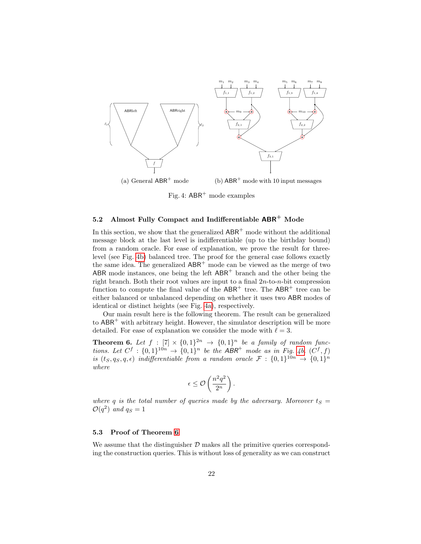<span id="page-21-1"></span>

Fig. 4:  $ABR^+$  mode examples

# <span id="page-21-0"></span>5.2 Almost Fully Compact and Indifferentiable  $ABR^+$  Mode

In this section, we show that the generalized  $ABR^+$  mode without the additional message block at the last level is indifferentiable (up to the birthday bound) from a random oracle. For ease of explanation, we prove the result for threelevel (see Fig. [4b\)](#page-21-1) balanced tree. The proof for the general case follows exactly the same idea. The generalized ABR<sup>+</sup> mode can be viewed as the merge of two ABR mode instances, one being the left  $ABR<sup>+</sup>$  branch and the other being the right branch. Both their root values are input to a final  $2n$ -to- $n$ -bit compression function to compute the final value of the  $ABR^+$  tree. The  $ABR^+$  tree can be either balanced or unbalanced depending on whether it uses two ABR modes of identical or distinct heights (see Fig. [4a\)](#page-21-1), respectively.

Our main result here is the following theorem. The result can be generalized to  $ABR^+$  with arbitrary height. However, the simulator description will be more detailed. For ease of explanation we consider the mode with  $\ell = 3$ .

**Theorem 6.** Let  $f : [7] \times \{0,1\}^{2n} \rightarrow \{0,1\}^n$  be a family of random functions. Let  $C^f : \{0,1\}^{10n} \rightarrow \{0,1\}^n$  be the ABR<sup>+</sup> mode as in Fig. [4b.](#page-21-1)  $(C^f, f)$ is  $(t_S, q_S, q, \epsilon)$  indifferentiable from a random oracle  $\mathcal{F}: \{0,1\}^{10n} \to \{0,1\}^n$ where

<span id="page-21-2"></span>
$$
\epsilon \leq \mathcal{O}\left(\frac{n^2q^2}{2^n}\right).
$$

where q is the total number of queries made by the adversary. Moreover  $t_S =$  $\mathcal{O}(q^2)$  and  $q_S = 1$ 

## 5.3 Proof of Theorem [6](#page-21-2)

We assume that the distinguisher  $D$  makes all the primitive queries corresponding the construction queries. This is without loss of generality as we can construct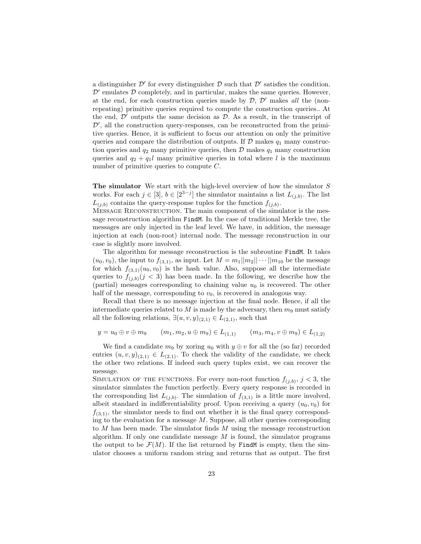a distinguisher  $\mathcal{D}'$  for every distinguisher  $\mathcal D$  such that  $\mathcal D'$  satisfies the condition.  $\mathcal{D}'$  emulates  $\mathcal D$  completely, and in particular, makes the same queries. However, at the end, for each construction queries made by  $D, D'$  makes all the (nonrepeating) primitive queries required to compute the construction queries.. At the end,  $\mathcal{D}'$  outputs the same decision as  $\mathcal{D}$ . As a result, in the transcript of  $\mathcal{D}'$ , all the construction query-responses, can be reconstructed from the primitive queries. Hence, it is sufficient to focus our attention on only the primitive queries and compare the distribution of outputs. If  $\mathcal D$  makes  $q_1$  many construction queries and  $q_2$  many primitive queries, then  $\mathcal D$  makes  $q_1$  many construction queries and  $q_2 + q_1l$  many primitive queries in total where l is the maximum number of primitive queries to compute C.

The simulator We start with the high-level overview of how the simulator S works. For each  $j \in [3], b \in [2^{3-j}]$  the simulator maintains a list  $L_{(j,b)}$ . The list  $L_{(j,b)}$  contains the query-response tuples for the function  $f_{(j,b)}$ .

Message Reconstruction. The main component of the simulator is the message reconstruction algorithm FindM. In the case of traditional Merkle tree, the messages are only injected in the leaf level. We have, in addition, the message injection at each (non-root) internal node. The message reconstruction in our case is slightly more involved.

The algorithm for message reconstruction is the subroutine FindM. It takes  $(u_0, v_0)$ , the input to  $f_{(3,1)}$ , as input. Let  $M = m_1 ||m_2|| \cdots ||m_{10}$  be the message for which  $f_{(3,1)}(u_0, v_0)$  is the hash value. Also, suppose all the intermediate queries to  $f_{(i,b)}(j \leq 3)$  has been made. In the following, we describe how the (partial) messages corresponding to chaining value  $u_0$  is recovered. The other half of the message, corresponding to  $v_0$ , is recovered in analogous way.

Recall that there is no message injection at the final node. Hence, if all the intermediate queries related to  $M$  is made by the adversary, then  $m<sub>9</sub>$  must satisfy all the following relations,  $\exists (u, v, y)_{(2,1)} \in L_{(2,1)}$ , such that

$$
y = u_0 \oplus v \oplus m_9
$$
  $(m_1, m_2, u \oplus m_9) \in L_{(1,1)}$   $(m_3, m_4, v \oplus m_9) \in L_{(1,2)}$ 

We find a candidate  $m_9$  by xoring  $u_0$  with  $y \oplus v$  for all the (so far) recorded entries  $(u, v, y)_{(2,1)} \in L_{(2,1)}$ . To check the validity of the candidate, we check the other two relations. If indeed such query tuples exist, we can recover the message.

SIMULATION OF THE FUNCTIONS. For every non-root function  $f_{(j,b)}$ ,  $j < 3$ , the simulator simulates the function perfectly. Every query response is recorded in the corresponding list  $L_{(j,b)}$ . The simulation of  $f_{(3,1)}$  is a little more involved, albeit standard in indifferentiability proof. Upon receiving a query  $(u_0, v_0)$  for  $f_{(3,1)}$ , the simulator needs to find out whether it is the final query corresponding to the evaluation for a message  $M$ . Suppose, all other queries corresponding to  $M$  has been made. The simulator finds  $M$  using the message reconstruction algorithm. If only one candidate message  $M$  is found, the simulator programs the output to be  $\mathcal{F}(M)$ . If the list returned by FindM is empty, then the simulator chooses a uniform random string and returns that as output. The first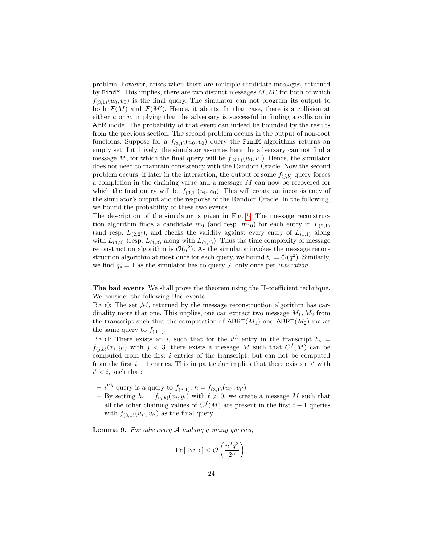problem, however, arises when there are multiple candidate messages, returned by FindM. This implies, there are two distinct messages  $M, M'$  for both of which  $f_{(3,1)}(u_0, v_0)$  is the final query. The simulator can not program its output to both  $\mathcal{F}(M)$  and  $\mathcal{F}(M')$ . Hence, it aborts. In that case, there is a collision at either  $u$  or  $v$ , implying that the adversary is successful in finding a collision in ABR mode. The probability of that event can indeed be bounded by the results from the previous section. The second problem occurs in the output of non-root functions. Suppose for a  $f_{(3,1)}(u_0, v_0)$  query the FindM algorithms returns an empty set. Intuitively, the simulator assumes here the adversary can not find a message M, for which the final query will be  $f_{(3,1)}(u_0, v_0)$ . Hence, the simulator does not need to maintain consistency with the Random Oracle. Now the second problem occurs, if later in the interaction, the output of some  $f_{(i,b)}$  query forces a completion in the chaining value and a message M can now be recovered for which the final query will be  $f_{(3,1)}(u_0, v_0)$ . This will create an inconsistency of the simulator's output and the response of the Random Oracle. In the following, we bound the probability of these two events.

The description of the simulator is given in Fig. [5.](#page-24-0) The message reconstruction algorithm finds a candidate  $m_9$  (and resp.  $m_{10}$ ) for each entry in  $L_{(2,1)}$ (and resp.  $L_{(2,2)}$ ), and checks the validity against every entry of  $L_{(1,1)}$  along with  $L_{(1,2)}$  (resp.  $L_{(1,3)}$  along with  $L_{(1,4)}$ ). Thus the time complexity of message reconstruction algorithm is  $\mathcal{O}(q^2)$ . As the simulator invokes the message reconstruction algorithm at most once for each query, we bound  $t_s = \mathcal{O}(q^2)$ . Similarly, we find  $q_s = 1$  as the simulator has to query  $\mathcal F$  only once per *invocation*.

The bad events We shall prove the theorem using the H-coefficient technique. We consider the following Bad events.

BAD0: The set  $M$ , returned by the message reconstruction algorithm has cardinality more that one. This implies, one can extract two message  $M_1, M_2$  from the transcript such that the computation of  $ABR^+(M_1)$  and  $ABR^+(M_2)$  makes the same query to  $f_{(3,1)}$ .

BAD1: There exists an i, such that for the  $i^{th}$  entry in the transcript  $h_i =$  $f_{(j,b)}(x_i, y_i)$  with  $j < 3$ , there exists a message M such that  $C^f(M)$  can be computed from the first i entries of the transcript, but can not be computed from the first  $i - 1$  entries. This in particular implies that there exists a i' with  $i' < i$ , such that:

- *i*<sup>th</sup> query is a query to  $f_{(3,1)}$ .  $h = f_{(3,1)}(u_{i'}, v_{i'})$
- By setting  $h_i = f_{(j,b)}(x_i, y_i)$  with  $\ell > 0$ , we create a message M such that all the other chaining values of  $C<sup>f</sup>(M)$  are present in the first  $i-1$  queries with  $f_{(3,1)}(u_{i'}, v_{i'})$  as the final query.

**Lemma 9.** For adversary  $A$  making  $q$  many queries,

$$
\Pr[\text{BAD}] \leq \mathcal{O}\left(\frac{n^2q^2}{2^n}\right).
$$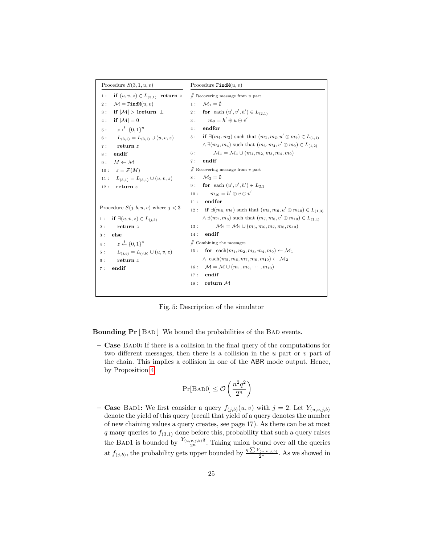<span id="page-24-0"></span>

| Procedure $S(3, 1, u, v)$                     | Procedure $FindM(u, v)$                                                               |
|-----------------------------------------------|---------------------------------------------------------------------------------------|
| if $(u, v, z) \in L_{(3,1)}$ return z<br>1:   | $\#$ Recovering message from u part                                                   |
| $\mathcal{M} =$ FindM $(u, v)$<br>2:          | 1: $\mathcal{M}_1 = \emptyset$                                                        |
| if $ \mathcal{M}  > 1$ return $\perp$<br>3:   | 2: for each $(u', v', h') \in L_{(2,1)}$                                              |
| if $ \mathcal{M}  = 0$<br>4:                  | $m_0 = h' \oplus u \oplus v'$<br>3:                                                   |
| $z \leftarrow^{\$} \{0,1\}^n$<br>5:           | endfor<br>4:                                                                          |
| $L_{(3,1)} = L_{(3,1)} \cup (u, v, z)$<br>6:  | if $\exists (m_1, m_2)$ such that $(m_1, m_2, u' \oplus m_9) \in L_{(1,1)}$<br>5:     |
| return $z$<br>7 :                             | $\wedge \exists (m_3, m_4)$ such that $(m_3, m_4, v' \oplus m_9) \in L_{(1,2)}$       |
| endif<br>8 :                                  | $\mathcal{M}_1 = \mathcal{M}_1 \cup (m_1, m_2, m_3, m_4, m_9)$<br>6:                  |
| $M \leftarrow M$<br>9:                        | endif<br>7:                                                                           |
| 10 : $z = \mathcal{F}(M)$                     | $\#$ Recovering message from v part                                                   |
| $L_{(3,1)} = L_{(3,1)} \cup (u, v, z)$<br>11: | $8: \mathcal{M}_2 = \emptyset$                                                        |
| return z<br>12:                               | 9: <b>for</b> each $(u', v', h') \in L_{2,2}$                                         |
|                                               | $m_{10} = h' \oplus v \oplus v'$<br>10:                                               |
|                                               | endfor<br>11:                                                                         |
| Procedure $S(j,b,u,v)$ where $j<3$            | if $\exists (m_5, m_6)$ such that $(m_5, m_6, u' \oplus m_{10}) \in L_{(1,3)}$<br>12: |
| if $\exists (u, v, z) \in L_{(i,b)}$<br>1:    | $\wedge \exists (m_7, m_8)$ such that $(m_7, m_8, v' \oplus m_{10}) \in L_{(1,4)}$    |
| return $z$<br>2:                              | $\mathcal{M}_2 = \mathcal{M}_2 \cup (m_5, m_6, m_7, m_8, m_{10})$<br>13:              |
| else<br>3:                                    | endif<br>14:                                                                          |
| $z \stackrel{\$}{\leftarrow} \{0,1\}^n$<br>4: | $\mathbb Z$ Combining the messages                                                    |
| $L_{(i,b)} = L_{(i,b)} \cup (u, v, z)$<br>5:  | for each $(m_1, m_2, m_3, m_4, m_9) \leftarrow \mathcal{M}_1$<br>15:                  |
| return $z$<br>6:                              | $\wedge$ each $(m_5, m_6, m_7, m_8, m_{10}) \leftarrow \mathcal{M}_2$                 |
| endif<br>7:                                   | $\mathcal{M} = \mathcal{M} \cup (m_1, m_2, \cdots, m_{10})$<br>16:                    |
|                                               | endif<br>17:                                                                          |
|                                               | return $M$<br>18:                                                                     |
|                                               |                                                                                       |

Fig. 5: Description of the simulator

Bounding  $Pr[$  BAD ] We bound the probabilities of the BAD events.

– Case Bad0: If there is a collision in the final query of the computations for two different messages, then there is a collision in the  $u$  part or  $v$  part of the chain. This implies a collision in one of the ABR mode output. Hence, by Proposition [4](#page-10-1)

$$
\Pr[\text{BAD}]\leq \mathcal{O}\left(\frac{n^2q^2}{2^n}\right)
$$

– **Case** BAD1: We first consider a query  $f_{(j,b)}(u, v)$  with  $j = 2$ . Let  $Y_{(u,v,j,b)}$ denote the yield of this query (recall that yield of a query denotes the number of new chaining values a query creates, see page 17). As there can be at most q many queries to  $f_{(3,1)}$  done before this, probability that such a query raises the BAD1 is bounded by  $\frac{Y_{(u,v,j,b)}q}{2^n}$ . Taking union bound over all the queries at  $f_{(j,b)}$ , the probability gets upper bounded by  $\frac{q \sum Y_{(u,v,j,b)}}{2^n}$ . As we showed in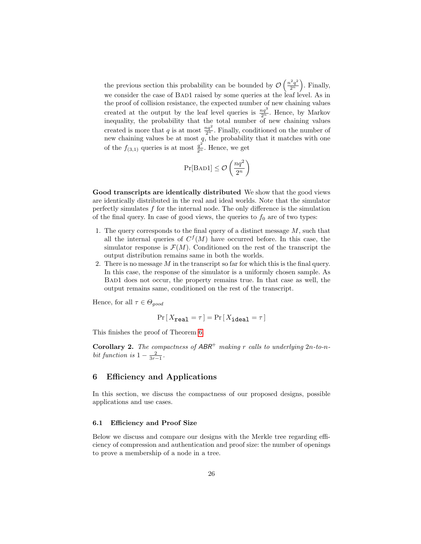the previous section this probability can be bounded by  $\mathcal{O}\left(\frac{n^2q^2}{2n}\right)$  $\left(\frac{2q^2}{2^n}\right)$ . Finally, we consider the case of BAD1 raised by some queries at the leaf level. As in the proof of collision resistance, the expected number of new chaining values created at the output by the leaf level queries is  $\frac{nq^3}{2^n}$ . Hence, by Markov inequality, the probability that the total number of new chaining values created is more that q is at most  $\frac{nq^2}{2^n}$ . Finally, conditioned on the number of new chaining values be at most  $q$ , the probability that it matches with one of the  $f_{(3,1)}$  queries is at most  $\frac{q^2}{2^n}$ . Hence, we get

$$
\Pr[\text{BAD1}] \le \mathcal{O}\left(\frac{nq^2}{2^n}\right)
$$

Good transcripts are identically distributed We show that the good views are identically distributed in the real and ideal worlds. Note that the simulator perfectly simulates  $f$  for the internal node. The only difference is the simulation of the final query. In case of good views, the queries to  $f_0$  are of two types:

- 1. The query corresponds to the final query of a distinct message  $M$ , such that all the internal queries of  $C^{f}(M)$  have occurred before. In this case, the simulator response is  $\mathcal{F}(M)$ . Conditioned on the rest of the transcript the output distribution remains same in both the worlds.
- 2. There is no message  $M$  in the transcript so far for which this is the final query. In this case, the response of the simulator is a uniformly chosen sample. As Bad1 does not occur, the property remains true. In that case as well, the output remains same, conditioned on the rest of the transcript.

Hence, for all  $\tau \in \Theta_{good}$ 

$$
\Pr\left[X_{\texttt{real}} = \tau\right] = \Pr\left[X_{\texttt{ideal}} = \tau\right]
$$

This finishes the proof of Theorem [6.](#page-21-2)

**Corollary 2.** The compactness of  $ABR^+$  making r calls to underlying  $2n$ -to-nbit function is  $1 - \frac{2}{3r-1}$ .

# <span id="page-25-0"></span>6 Efficiency and Applications

In this section, we discuss the compactness of our proposed designs, possible applications and use cases.

### 6.1 Efficiency and Proof Size

Below we discuss and compare our designs with the Merkle tree regarding efficiency of compression and authentication and proof size: the number of openings to prove a membership of a node in a tree.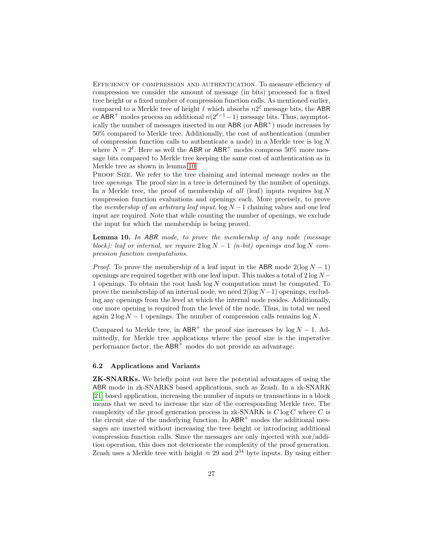Efficiency of compression and authentication. To measure efficiency of compression we consider the amount of message (in bits) processed for a fixed tree height or a fixed number of compression function calls. As mentioned earlier, compared to a Merkle tree of height  $\ell$  which absorbs  $n2^{\ell}$  message bits, the ABR or ABR<sup>+</sup> modes process an additional  $n(2^{\ell-1}-1)$  message bits. Thus, asymptotically the number of messages inserted in our  $ABR$  (or  $ABR^+$ ) mode increases by 50% compared to Merkle tree. Additionally, the cost of authentication (number of compression function calls to authenticate a node) in a Merkle tree is  $\log N$ where  $N = 2^{\ell}$ . Here as well the ABR or ABR<sup>+</sup> modes compress 50% more message bits compared to Merkle tree keeping the same cost of authentication as in Merkle tree as shown in lemma [10.](#page-26-0)

Proof Size. We refer to the tree chaining and internal message nodes as the tree openings. The proof size in a tree is determined by the number of openings. In a Merkle tree, the proof of membership of all (leaf) inputs requires  $\log N$ compression function evaluations and openings each. More precisely, to prove the membership of an arbitrary leaf input,  $\log N - 1$  chaining values and one leaf input are required. Note that while counting the number of openings, we exclude the input for which the membership is being proved.

<span id="page-26-0"></span>**Lemma 10.** In ABR mode, to prove the membership of any node (message block): leaf or internal, we require  $2 \log N - 1$  (n-bit) openings and  $\log N$  compression function computations.

*Proof.* To prove the membership of a leaf input in the ABR mode  $2(\log N - 1)$ openings are required together with one leaf input. This makes a total of  $2 \log N$ 1 openings. To obtain the root hash  $log N$  computation must be computed. To prove the membership of an internal node, we need  $2(\log N - 1)$  openings, excluding any openings from the level at which the internal node resides. Additionally, one more opening is required from the level of the node. Thus, in total we need again  $2 \log N - 1$  openings. The number of compression calls remains  $\log N$ .

Compared to Merkle tree, in  $ABR^+$  the proof size increases by  $log N - 1$ . Admittedly, for Merkle tree applications where the proof size is the imperative performance factor, the ABR<sup>+</sup> modes do not provide an advantage.

# 6.2 Applications and Variants

ZK-SNARKs. We briefly point out here the potential advantages of using the ABR mode in zk-SNARKS based applications, such as Zcash. In a zk-SNARK [\[21\]](#page-29-14) based application, increasing the number of inputs or transactions in a block means that we need to increase the size of the corresponding Merkle tree. The complexity of the proof generation process in zk-SNARK is  $C \log C$  where  $C$  is the circuit size of the underlying function. In  $ABR^+$  modes the additional messages are inserted without increasing the tree height or introducing additional compression function calls. Since the messages are only injected with xor/addition operation, this does not deteriorate the complexity of the proof generation. Zcash uses a Merkle tree with height  $\approx 29$  and  $2^{34}$  byte inputs. By using either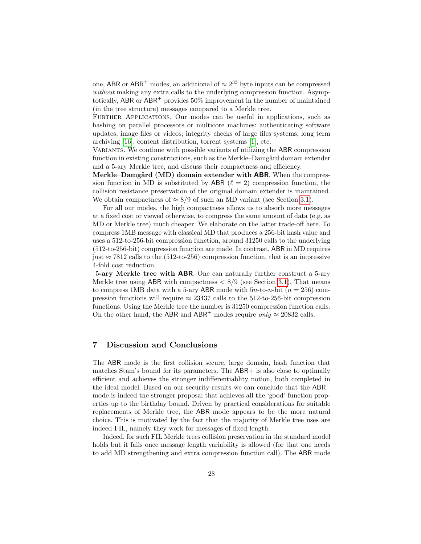one, ABR or ABR<sup>+</sup> modes, an additional of  $\approx 2^{33}$  byte inputs can be compressed without making any extra calls to the underlying compression function. Asymptotically, ABR or  $ABR^+$  provides 50% improvement in the number of maintained (in the tree structure) messages compared to a Merkle tree.

FURTHER APPLICATIONS. Our modes can be useful in applications, such as hashing on parallel processors or multicore machines: authenticating software updates, image files or videos; integrity checks of large files systems, long term archiving [\[16\]](#page-29-15), content distribution, torrent systems [\[1\]](#page-28-8), etc.

VARIANTS. We continue with possible variants of utilizing the ABR compression function in existing constructions, such as the Merkle–Damgård domain extender and a 5-ary Merkle tree, and discuss their compactness and efficiency.

Merkle–Damgård (MD) domain extender with ABR. When the compression function in MD is substituted by ABR ( $\ell = 2$ ) compression function, the collision resistance preservation of the original domain extender is maintained. We obtain compactness of  $\approx 8/9$  of such an MD variant (see Section [3.1\)](#page-8-0).

For all our modes, the high compactness allows us to absorb more messages at a fixed cost or viewed otherwise, to compress the same amount of data (e.g. as MD or Merkle tree) much cheaper. We elaborate on the latter trade-off here. To compress 1MB message with classical MD that produces a 256-bit hash value and uses a 512-to-256-bit compression function, around 31250 calls to the underlying (512-to-256-bit) compression function are made. In contrast, ABR in MD requires just  $\approx$  7812 calls to the (512-to-256) compression function, that is an impressive 4-fold cost reduction.

5-ary Merkle tree with ABR. One can naturally further construct a 5-ary Merkle tree using ABR with compactness  $\langle 8/9 \rangle$  (see Section [3.1\)](#page-8-0). That means to compress 1MB data with a 5-ary ABR mode with  $5n$ -to-n-bit  $(n = 256)$  compression functions will require  $\approx 23437$  calls to the 512-to-256-bit compression functions. Using the Merkle tree the number is 31250 compression function calls. On the other hand, the ABR and ABR<sup>+</sup> modes require *only*  $\approx$  20832 calls.

# 7 Discussion and Conclusions

The ABR mode is the first collision secure, large domain, hash function that matches Stam's bound for its parameters. The ABR+ is also close to optimally efficient and achieves the stronger indifferentiablity notion, both completed in the ideal model. Based on our security results we can conclude that the  $ABR^+$ mode is indeed the stronger proposal that achieves all the 'good' function properties up to the birthday bound. Driven by practical considerations for suitable replacements of Merkle tree, the ABR mode appears to be the more natural choice. This is motivated by the fact that the majority of Merkle tree uses are indeed FIL, namely they work for messages of fixed length.

Indeed, for such FIL Merkle trees collision preservation in the standard model holds but it fails once message length variability is allowed (for that one needs to add MD strengthening and extra compression function call). The ABR mode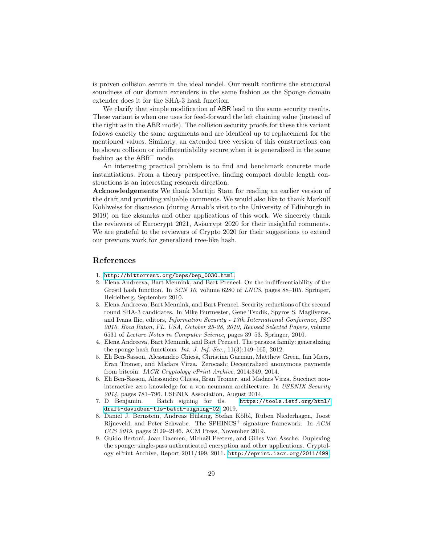is proven collision secure in the ideal model. Our result confirms the structural soundness of our domain extenders in the same fashion as the Sponge domain extender does it for the SHA-3 hash function.

We clarify that simple modification of ABR lead to the same security results. These variant is when one uses for feed-forward the left chaining value (instead of the right as in the ABR mode). The collision security proofs for these this variant follows exactly the same arguments and are identical up to replacement for the mentioned values. Similarly, an extended tree version of this constructions can be shown collision or indifferentiability secure when it is generalized in the same fashion as the  $ABR^+$  mode.

An interesting practical problem is to find and benchmark concrete mode instantiations. From a theory perspective, finding compact double length constructions is an interesting research direction.

Acknowledgements We thank Martijn Stam for reading an earlier version of the draft and providing valuable comments. We would also like to thank Markulf Kohlweiss for discussion (during Arnab's visit to the University of Edinburgh in 2019) on the zksnarks and other applications of this work. We sincerely thank the reviewers of Eurocrypt 2021, Asiacrypt 2020 for their insightful comments. We are grateful to the reviewers of Crypto 2020 for their suggestions to extend our previous work for generalized tree-like hash.

# References

- <span id="page-28-8"></span>1. [http://bittorrent.org/beps/bep\\_0030.html](http://bittorrent.org/beps/bep_0030.html).
- <span id="page-28-1"></span>2. Elena Andreeva, Bart Mennink, and Bart Preneel. On the indifferentiability of the Grøstl hash function. In SCN 10, volume 6280 of LNCS, pages 88–105. Springer, Heidelberg, September 2010.
- <span id="page-28-2"></span>3. Elena Andreeva, Bart Mennink, and Bart Preneel. Security reductions of the second round SHA-3 candidates. In Mike Burmester, Gene Tsudik, Spyros S. Magliveras, and Ivana Ilic, editors, Information Security - 13th International Conference, ISC 2010, Boca Raton, FL, USA, October 25-28, 2010, Revised Selected Papers, volume 6531 of Lecture Notes in Computer Science, pages 39–53. Springer, 2010.
- <span id="page-28-3"></span>4. Elena Andreeva, Bart Mennink, and Bart Preneel. The parazoa family: generalizing the sponge hash functions. *Int. J. Inf. Sec.*,  $11(3):149-165$ ,  $2012$ .
- <span id="page-28-7"></span>5. Eli Ben-Sasson, Alessandro Chiesa, Christina Garman, Matthew Green, Ian Miers, Eran Tromer, and Madars Virza. Zerocash: Decentralized anonymous payments from bitcoin. IACR Cryptology ePrint Archive, 2014:349, 2014.
- <span id="page-28-6"></span>6. Eli Ben-Sasson, Alessandro Chiesa, Eran Tromer, and Madars Virza. Succinct noninteractive zero knowledge for a von neumann architecture. In USENIX Security 2014, pages 781–796. USENIX Association, August 2014.
- <span id="page-28-4"></span>7. D Benjamin. Batch signing for tls. [https://tools.ietf.org/html/](https://tools.ietf.org/html/draft-davidben-tls-batch-signing-02) [draft-davidben-tls-batch-signing-02](https://tools.ietf.org/html/draft-davidben-tls-batch-signing-02), 2019.
- <span id="page-28-5"></span>8. Daniel J. Bernstein, Andreas Hülsing, Stefan Kölbl, Ruben Niederhagen, Joost Rijneveld, and Peter Schwabe. The SPHINCS<sup>+</sup> signature framework. In  $ACM$ CCS 2019, pages 2129–2146. ACM Press, November 2019.
- <span id="page-28-0"></span>9. Guido Bertoni, Joan Daemen, Michaël Peeters, and Gilles Van Assche. Duplexing the sponge: single-pass authenticated encryption and other applications. Cryptology ePrint Archive, Report 2011/499, 2011. <http://eprint.iacr.org/2011/499>.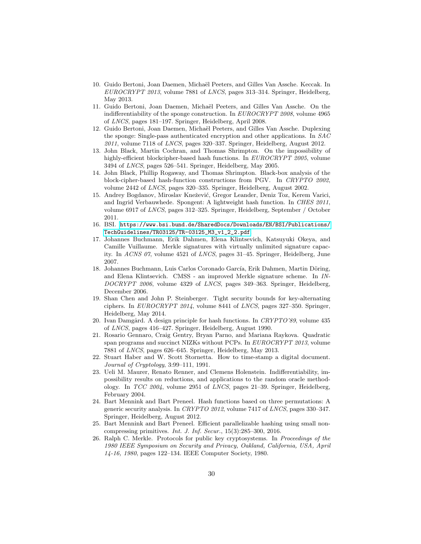- <span id="page-29-5"></span>10. Guido Bertoni, Joan Daemen, Michaël Peeters, and Gilles Van Assche. Keccak. In EUROCRYPT 2013, volume 7881 of LNCS, pages 313–314. Springer, Heidelberg, May 2013.
- <span id="page-29-2"></span>11. Guido Bertoni, Joan Daemen, Michaël Peeters, and Gilles Van Assche. On the indifferentiability of the sponge construction. In EUROCRYPT 2008, volume 4965 of LNCS, pages 181–197. Springer, Heidelberg, April 2008.
- <span id="page-29-0"></span>12. Guido Bertoni, Joan Daemen, Michaël Peeters, and Gilles Van Assche. Duplexing the sponge: Single-pass authenticated encryption and other applications. In SAC 2011, volume 7118 of LNCS, pages 320–337. Springer, Heidelberg, August 2012.
- <span id="page-29-7"></span>13. John Black, Martin Cochran, and Thomas Shrimpton. On the impossibility of highly-efficient blockcipher-based hash functions. In EUROCRYPT 2005, volume 3494 of LNCS, pages 526–541. Springer, Heidelberg, May 2005.
- <span id="page-29-1"></span>14. John Black, Phillip Rogaway, and Thomas Shrimpton. Black-box analysis of the block-cipher-based hash-function constructions from PGV. In CRYPTO 2002, volume 2442 of LNCS, pages 320–335. Springer, Heidelberg, August 2002.
- <span id="page-29-6"></span>15. Andrey Bogdanov, Miroslav Knežević, Gregor Leander, Deniz Toz, Kerem Varici, and Ingrid Verbauwhede. Spongent: A lightweight hash function. In CHES 2011, volume 6917 of LNCS, pages 312–325. Springer, Heidelberg, September / October 2011.
- <span id="page-29-15"></span>16. BSI. [https://www.bsi.bund.de/SharedDocs/Downloads/EN/BSI/Publications/](https://www.bsi.bund.de/SharedDocs/Downloads/EN/BSI/Publications/TechGuidelines/TR03125/TR-03125_M3_v1_2_2.pdf) [TechGuidelines/TR03125/TR-03125\\_M3\\_v1\\_2\\_2.pdf](https://www.bsi.bund.de/SharedDocs/Downloads/EN/BSI/Publications/TechGuidelines/TR03125/TR-03125_M3_v1_2_2.pdf).
- <span id="page-29-11"></span>17. Johannes Buchmann, Erik Dahmen, Elena Klintsevich, Katsuyuki Okeya, and Camille Vuillaume. Merkle signatures with virtually unlimited signature capacity. In ACNS 07, volume 4521 of LNCS, pages 31–45. Springer, Heidelberg, June 2007.
- <span id="page-29-12"></span>18. Johannes Buchmann, Luis Carlos Coronado García, Erik Dahmen, Martin Döring, and Elena Klintsevich. CMSS - an improved Merkle signature scheme. In IN-DOCRYPT 2006, volume 4329 of LNCS, pages 349–363. Springer, Heidelberg, December 2006.
- <span id="page-29-16"></span>19. Shan Chen and John P. Steinberger. Tight security bounds for key-alternating ciphers. In EUROCRYPT 2014, volume 8441 of LNCS, pages 327–350. Springer, Heidelberg, May 2014.
- <span id="page-29-3"></span>20. Ivan Damgård. A design principle for hash functions. In  $CRYPTO'89$ , volume 435 of LNCS, pages 416–427. Springer, Heidelberg, August 1990.
- <span id="page-29-14"></span>21. Rosario Gennaro, Craig Gentry, Bryan Parno, and Mariana Raykova. Quadratic span programs and succinct NIZKs without PCPs. In EUROCRYPT 2013, volume 7881 of LNCS, pages 626–645. Springer, Heidelberg, May 2013.
- <span id="page-29-13"></span>22. Stuart Haber and W. Scott Stornetta. How to time-stamp a digital document. Journal of Cryptology, 3:99–111, 1991.
- <span id="page-29-10"></span>23. Ueli M. Maurer, Renato Renner, and Clemens Holenstein. Indifferentiability, impossibility results on reductions, and applications to the random oracle methodology. In TCC 2004, volume 2951 of LNCS, pages 21–39. Springer, Heidelberg, February 2004.
- <span id="page-29-8"></span>24. Bart Mennink and Bart Preneel. Hash functions based on three permutations: A generic security analysis. In CRYPTO 2012, volume 7417 of LNCS, pages 330–347. Springer, Heidelberg, August 2012.
- <span id="page-29-9"></span>25. Bart Mennink and Bart Preneel. Efficient parallelizable hashing using small noncompressing primitives. Int. J. Inf. Secur., 15(3):285–300, 2016.
- <span id="page-29-4"></span>26. Ralph C. Merkle. Protocols for public key cryptosystems. In Proceedings of the 1980 IEEE Symposium on Security and Privacy, Oakland, California, USA, April 14-16, 1980, pages 122–134. IEEE Computer Society, 1980.